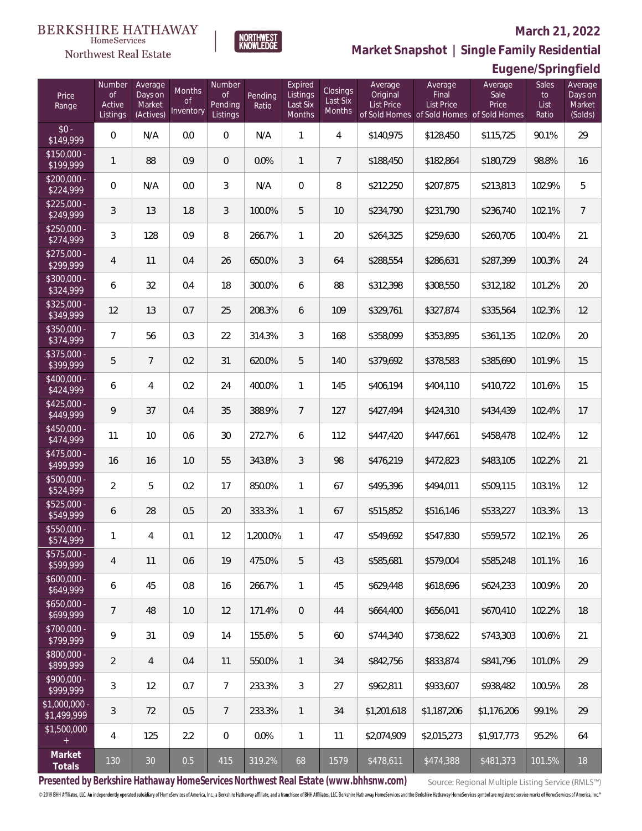### Northwest Real Estate

#### **March 21, 2022**



## **Eugene/Springfield**

| Price<br>Range               | Number<br><b>of</b><br>Active<br>Listings | Average<br>Days on<br>Market<br>(Actives) | Months<br><b>of</b><br>Inventory | Number<br><b>of</b><br>Pending<br>Listings | Pending<br>Ratio | Expired<br>Listings<br>Last Six<br>Months | <b>Closings</b><br>Last Six<br>Months | Average<br>Original<br>List Price | Average<br>Final<br><b>List Price</b><br>of Sold Homes of Sold Homes of Sold Homes | Average<br>Sale<br>Price | Sales<br>to<br>List<br>Ratio | Average<br>Days on<br>Market<br>(Solds) |
|------------------------------|-------------------------------------------|-------------------------------------------|----------------------------------|--------------------------------------------|------------------|-------------------------------------------|---------------------------------------|-----------------------------------|------------------------------------------------------------------------------------|--------------------------|------------------------------|-----------------------------------------|
| $$0 -$<br>\$149,999          | $\overline{0}$                            | N/A                                       | 0.0                              | $\overline{0}$                             | N/A              | 1                                         | $\overline{4}$                        | \$140,975                         | \$128,450                                                                          | \$115,725                | 90.1%                        | 29                                      |
| $$150,000 -$<br>\$199,999    | $\mathbf{1}$                              | 88                                        | 0.9                              | $\overline{0}$                             | 0.0%             | $\mathbf{1}$                              | $\overline{7}$                        | \$188,450                         | \$182,864                                                                          | \$180,729                | 98.8%                        | 16                                      |
| $$200,000 -$<br>\$224,999    | $\overline{0}$                            | N/A                                       | 0.0                              | 3                                          | N/A              | $\overline{0}$                            | 8                                     | \$212,250                         | \$207,875                                                                          | \$213,813                | 102.9%                       | 5                                       |
| $$225,000 -$<br>\$249,999    | 3                                         | 13                                        | 1.8                              | 3                                          | 100.0%           | 5                                         | 10                                    | \$234,790                         | \$231,790                                                                          | \$236,740                | 102.1%                       | $\overline{7}$                          |
| $$250,000 -$<br>\$274,999    | 3                                         | 128                                       | 0.9                              | 8                                          | 266.7%           | $\mathbf{1}$                              | 20                                    | \$264,325                         | \$259,630                                                                          | \$260,705                | 100.4%                       | 21                                      |
| $$275,000 -$<br>\$299,999    | 4                                         | 11                                        | 0.4                              | 26                                         | 650.0%           | 3                                         | 64                                    | \$288,554                         | \$286,631                                                                          | \$287,399                | 100.3%                       | 24                                      |
| $$300,000 -$<br>\$324,999    | 6                                         | 32                                        | 0.4                              | 18                                         | 300.0%           | 6                                         | 88                                    | \$312,398                         | \$308,550                                                                          | \$312,182                | 101.2%                       | 20                                      |
| $$325,000 -$<br>\$349,999    | 12                                        | 13                                        | 0.7                              | 25                                         | 208.3%           | 6                                         | 109                                   | \$329,761                         | \$327,874                                                                          | \$335,564                | 102.3%                       | 12                                      |
| $$350,000 -$<br>\$374,999    | $\overline{7}$                            | 56                                        | 0.3                              | 22                                         | 314.3%           | 3                                         | 168                                   | \$358,099                         | \$353,895                                                                          | \$361,135                | 102.0%                       | 20                                      |
| $$375,000 -$<br>\$399,999    | 5                                         | $\overline{7}$                            | 0.2                              | 31                                         | 620.0%           | 5                                         | 140                                   | \$379,692                         | \$378,583                                                                          | \$385,690                | 101.9%                       | 15                                      |
| $$400,000 -$<br>\$424,999    | 6                                         | 4                                         | 0.2                              | 24                                         | 400.0%           | $\mathbf{1}$                              | 145                                   | \$406,194                         | \$404,110                                                                          | \$410,722                | 101.6%                       | 15                                      |
| $$425,000 -$<br>\$449,999    | 9                                         | 37                                        | 0.4                              | 35                                         | 388.9%           | $\overline{7}$                            | 127                                   | \$427,494                         | \$424,310                                                                          | \$434,439                | 102.4%                       | 17                                      |
| $$450,000 -$<br>\$474,999    | 11                                        | 10                                        | 0.6                              | 30                                         | 272.7%           | 6                                         | 112                                   | \$447,420                         | \$447,661                                                                          | \$458,478                | 102.4%                       | 12                                      |
| $$475,000 -$<br>\$499,999    | 16                                        | 16                                        | 1.0                              | 55                                         | 343.8%           | $\mathcal{S}$                             | 98                                    | \$476,219                         | \$472,823                                                                          | \$483,105                | 102.2%                       | 21                                      |
| \$500,000 -<br>\$524,999     | $\overline{2}$                            | 5                                         | 0.2                              | 17                                         | 850.0%           | $\mathbf{1}$                              | 67                                    | \$495,396                         | \$494,011                                                                          | \$509,115                | 103.1%                       | 12                                      |
| $$525,000 -$<br>\$549,999    | 6                                         | 28                                        | 0.5                              | 20                                         | 333.3%           | $\mathbf{1}$                              | 67                                    | \$515,852                         | \$516,146                                                                          | \$533,227                | 103.3%                       | 13                                      |
| $$550,000 -$<br>\$574,999    | 1                                         | 4                                         | 0.1                              | 12                                         | 1,200.0%         | $\mathbf{1}$                              | 47                                    | \$549,692                         | \$547,830                                                                          | \$559,572                | 102.1%                       | 26                                      |
| \$575,000 -<br>\$599,999     | 4                                         | 11                                        | 0.6                              | 19                                         | 475.0%           | 5                                         | 43                                    | \$585,681                         | \$579,004                                                                          | \$585,248                | 101.1%                       | 16                                      |
| $$600,000 -$<br>\$649,999    | 6                                         | 45                                        | 0.8                              | 16                                         | 266.7%           | 1                                         | 45                                    | \$629,448                         | \$618,696                                                                          | \$624,233                | 100.9%                       | 20                                      |
| $$650,000 -$<br>\$699,999    | $\overline{7}$                            | 48                                        | 1.0                              | 12                                         | 171.4%           | $\mathbf 0$                               | 44                                    | \$664,400                         | \$656,041                                                                          | \$670,410                | 102.2%                       | 18                                      |
| \$700,000 -<br>\$799,999     | 9                                         | 31                                        | 0.9                              | 14                                         | 155.6%           | 5                                         | 60                                    | \$744,340                         | \$738,622                                                                          | \$743,303                | 100.6%                       | 21                                      |
| \$800,000 -<br>\$899,999     | 2                                         | $\overline{4}$                            | 0.4                              | 11                                         | 550.0%           | 1                                         | 34                                    | \$842,756                         | \$833,874                                                                          | \$841,796                | 101.0%                       | 29                                      |
| \$900,000 -<br>\$999,999     | 3                                         | 12                                        | 0.7                              | $\overline{7}$                             | 233.3%           | 3                                         | 27                                    | \$962,811                         | \$933,607                                                                          | \$938,482                | 100.5%                       | 28                                      |
| \$1,000,000 -<br>\$1,499,999 | 3                                         | 72                                        | 0.5                              | $7\phantom{.}$                             | 233.3%           | 1                                         | 34                                    | \$1,201,618                       | \$1,187,206                                                                        | \$1,176,206              | 99.1%                        | 29                                      |
| \$1,500,000<br>$+$           | 4                                         | 125                                       | 2.2                              | $\mathbf 0$                                | 0.0%             | 1                                         | 11                                    | \$2,074,909                       | \$2,015,273                                                                        | \$1,917,773              | 95.2%                        | 64                                      |
| Market<br>Totals             | 130                                       | $30\,$                                    | 0.5                              | 415                                        | 319.2%           | 68                                        | 1579                                  | \$478,611                         | \$474,388                                                                          | \$481,373                | 101.5%                       | 18                                      |

**NORTHWEST**<br>KNOWLEDGE

**Presented by Berkshire Hathaway HomeServices Northwest Real Estate (www.bhhsnw.com)**

Source: Regional Multiple Listing Service (RMLS™)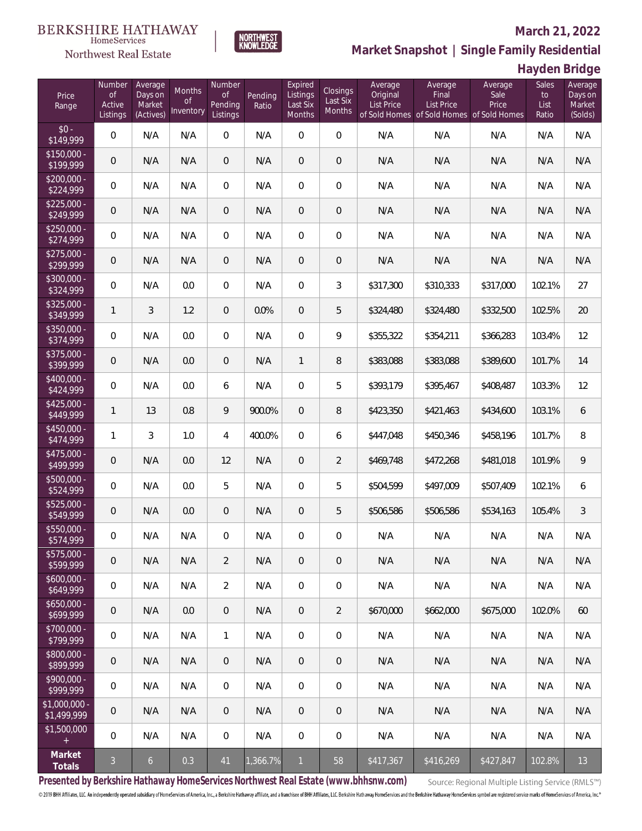# $\begin{array}{llll} \texttt{BERKSHIRE} \texttt{ HATHAWAY} \\ \texttt{\tiny HomeServices} \end{array}$

## Northwest Real Estate

#### **March 21, 2022**



**Hayden Bridge**

| Price<br>Range                    | Number<br><b>of</b><br>Active<br>Listings | Average<br>Days on<br>Market<br>(Actives) | Months<br><b>of</b><br>Inventory | Number<br><b>of</b><br>Pending<br>Listings | Pending<br>Ratio | Expired<br>Listings<br>Last Six<br>Months | Closings<br>Last Six<br>Months | Average<br>Original<br><b>List Price</b> | Average<br>Final<br><b>List Price</b><br>of Sold Homes of Sold Homes of Sold Homes | Average<br>Sale<br>Price | Sales<br>to<br>List<br>Ratio | Average<br>Days on<br>Market<br>(Solds) |
|-----------------------------------|-------------------------------------------|-------------------------------------------|----------------------------------|--------------------------------------------|------------------|-------------------------------------------|--------------------------------|------------------------------------------|------------------------------------------------------------------------------------|--------------------------|------------------------------|-----------------------------------------|
| $$0 -$<br>\$149,999               | $\overline{0}$                            | N/A                                       | N/A                              | $\overline{0}$                             | N/A              | $\overline{0}$                            | $\overline{0}$                 | N/A                                      | N/A                                                                                | N/A                      | N/A                          | N/A                                     |
| $$150,000 -$<br>$\sqrt{$199,999}$ | $\overline{0}$                            | N/A                                       | N/A                              | $\overline{0}$                             | N/A              | $\overline{0}$                            | $\overline{0}$                 | N/A                                      | N/A                                                                                | N/A                      | N/A                          | N/A                                     |
| $$200,000 -$<br>\$224,999         | $\overline{0}$                            | N/A                                       | N/A                              | $\overline{0}$                             | N/A              | $\overline{0}$                            | $\overline{0}$                 | N/A                                      | N/A                                                                                | N/A                      | N/A                          | N/A                                     |
| $$225,000 -$<br>\$249,999         | $\overline{0}$                            | N/A                                       | N/A                              | $\overline{0}$                             | N/A              | $\overline{0}$                            | 0                              | N/A                                      | N/A                                                                                | N/A                      | N/A                          | N/A                                     |
| $$250,000 -$<br>\$274,999         | $\overline{0}$                            | N/A                                       | N/A                              | $\overline{0}$                             | N/A              | $\overline{0}$                            | $\overline{0}$                 | N/A                                      | N/A                                                                                | N/A                      | N/A                          | N/A                                     |
| $$275,000 -$<br>\$299,999         | $\mathbf 0$                               | N/A                                       | N/A                              | $\overline{0}$                             | N/A              | $\overline{0}$                            | 0                              | N/A                                      | N/A                                                                                | N/A                      | N/A                          | N/A                                     |
| $$300,000 -$<br>\$324,999         | $\overline{0}$                            | N/A                                       | 0.0                              | $\overline{0}$                             | N/A              | $\overline{0}$                            | 3                              | \$317,300                                | \$310,333                                                                          | \$317,000                | 102.1%                       | 27                                      |
| $$325,000 -$<br>\$349,999         | $\mathbf{1}$                              | 3                                         | 1.2                              | $\overline{0}$                             | 0.0%             | $\overline{0}$                            | 5                              | \$324,480                                | \$324,480                                                                          | \$332,500                | 102.5%                       | 20                                      |
| $$350,000 -$<br>\$374,999         | $\mathsf{O}\xspace$                       | N/A                                       | 0.0                              | $\overline{0}$                             | N/A              | $\mathbf 0$                               | 9                              | \$355,322                                | \$354,211                                                                          | \$366,283                | 103.4%                       | 12                                      |
| $$375,000 -$<br>\$399,999         | $\overline{0}$                            | N/A                                       | 0.0                              | $\overline{0}$                             | N/A              | $\mathbf{1}$                              | 8                              | \$383,088                                | \$383,088                                                                          | \$389,600                | 101.7%                       | 14                                      |
| $$400,000 -$<br>\$424,999         | $\overline{0}$                            | N/A                                       | 0.0                              | 6                                          | N/A              | $\overline{0}$                            | 5                              | \$393,179                                | \$395,467                                                                          | \$408,487                | 103.3%                       | 12                                      |
| $$425,000 -$<br>\$449,999         | $\mathbf{1}$                              | 13                                        | 0.8                              | 9                                          | 900.0%           | $\overline{0}$                            | 8                              | \$423,350                                | \$421,463                                                                          | \$434,600                | 103.1%                       | 6                                       |
| $$450,000 -$<br>\$474,999         | 1                                         | 3                                         | 1.0                              | $\overline{4}$                             | 400.0%           | $\overline{0}$                            | 6                              | \$447,048                                | \$450,346                                                                          | \$458,196                | 101.7%                       | 8                                       |
| $$475,000 -$<br>\$499,999         | $\overline{0}$                            | N/A                                       | 0.0                              | 12                                         | N/A              | $\overline{0}$                            | $\overline{2}$                 | \$469,748                                | \$472,268                                                                          | \$481,018                | 101.9%                       | $\mathcal{Q}$                           |
| \$500,000 -<br>\$524,999          | $\mathsf{O}\xspace$                       | N/A                                       | 0.0                              | 5                                          | N/A              | $\overline{0}$                            | 5                              | \$504,599                                | \$497,009                                                                          | \$507,409                | 102.1%                       | 6                                       |
| $$525,000 -$<br>\$549,999         | $\overline{0}$                            | N/A                                       | 0.0                              | $\overline{0}$                             | N/A              | $\overline{0}$                            | 5                              | \$506,586                                | \$506,586                                                                          | \$534,163                | 105.4%                       | 3                                       |
| \$550,000 -<br>\$574,999          | 0                                         | N/A                                       | N/A                              | $\overline{0}$                             | N/A              | $\mathbf 0$                               | 0                              | N/A                                      | N/A                                                                                | N/A                      | N/A                          | N/A                                     |
| \$575,000 -<br>\$599,999          | $\mathbf 0$                               | N/A                                       | N/A                              | $\overline{2}$                             | N/A              | $\mathbf 0$                               | 0                              | N/A                                      | N/A                                                                                | N/A                      | N/A                          | N/A                                     |
| $$600,000 -$<br>\$649,999         | $\mathbf 0$                               | N/A                                       | N/A                              | $\overline{2}$                             | N/A              | $\mathbb O$                               | $\boldsymbol{0}$               | N/A                                      | N/A                                                                                | N/A                      | N/A                          | N/A                                     |
| $$650,000 -$<br>\$699,999         | $\boldsymbol{0}$                          | N/A                                       | 0.0                              | $\,0\,$                                    | N/A              | $\overline{0}$                            | $\overline{2}$                 | \$670,000                                | \$662,000                                                                          | \$675,000                | 102.0%                       | 60                                      |
| \$700,000 -<br>\$799,999          | 0                                         | N/A                                       | N/A                              | $\mathbf{1}$                               | N/A              | $\mathbb O$                               | $\,0\,$                        | N/A                                      | N/A                                                                                | N/A                      | N/A                          | N/A                                     |
| \$800,000 -<br>\$899,999          | $\mathbf 0$                               | N/A                                       | N/A                              | $\mathbf{0}$                               | N/A              | $\mathbf{0}$                              | 0                              | N/A                                      | N/A                                                                                | N/A                      | N/A                          | N/A                                     |
| \$900,000 -<br>\$999,999          | 0                                         | N/A                                       | N/A                              | $\mathbf 0$                                | N/A              | $\mathbf 0$                               | 0                              | N/A                                      | N/A                                                                                | N/A                      | N/A                          | N/A                                     |
| \$1,000,000 -<br>\$1,499,999      | $\mathbf 0$                               | N/A                                       | N/A                              | $\overline{0}$                             | N/A              | $\mathbf 0$                               | $\mathbf 0$                    | N/A                                      | N/A                                                                                | N/A                      | N/A                          | N/A                                     |
| \$1,500,000<br>$\pm$              | 0                                         | N/A                                       | N/A                              | $\,0\,$                                    | N/A              | 0                                         | 0                              | N/A                                      | N/A                                                                                | N/A                      | N/A                          | N/A                                     |
| Market<br>Totals                  | $\mathfrak{Z}$                            | $\mathfrak{b}$                            | 0.3                              | 41                                         | 1,366.7%         | $\mathbf{1}$                              | 58                             | \$417,367                                | \$416,269                                                                          | \$427,847                | 102.8%                       | 13                                      |

**NORTHWEST**<br>KNOWLEDGE

**Presented by Berkshire Hathaway HomeServices Northwest Real Estate (www.bhhsnw.com)**

Source: Regional Multiple Listing Service (RMLS™)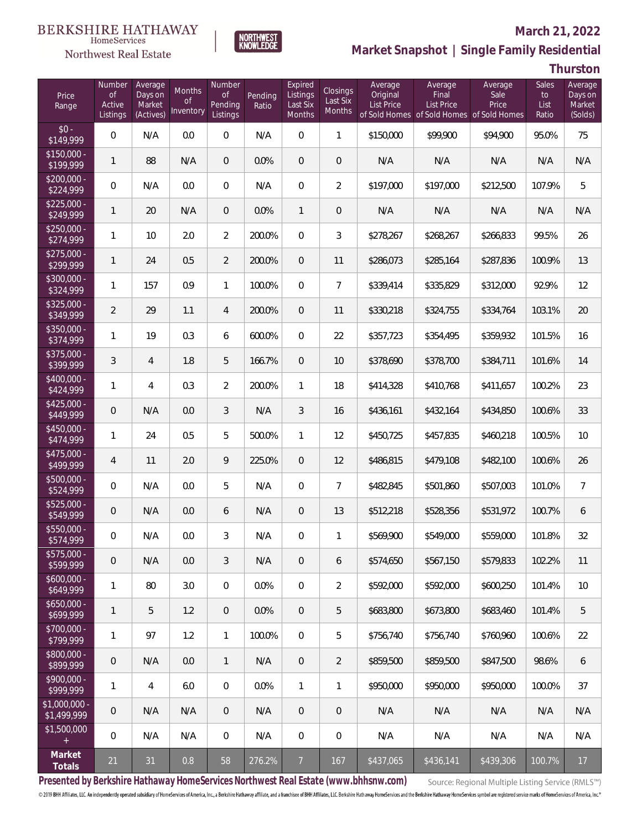## Northwest Real Estate

### **March 21, 2022**



# **Market Snapshot | Single Family Residential**

**Thurston**

| Price<br>Range               | Number<br><b>of</b><br>Active<br>Listings | Average<br>Days on<br>Market<br>(Actives) | <b>Months</b><br>Οf<br>Inventory | Number<br>$\mathsf{of}$<br>Pending<br>Listings | Pending<br>Ratio | Expired<br>Listings<br>Last Six<br>Months | Closings<br>Last Six<br><b>Months</b> | Average<br>Original<br><b>List Price</b> | Average<br>Final<br>List Price | Average<br>Sale<br>Price<br>of Sold Homes of Sold Homes of Sold Homes | Sales<br>to<br>List<br>Ratio | Average<br>Days on<br>Market<br>(Solds) |
|------------------------------|-------------------------------------------|-------------------------------------------|----------------------------------|------------------------------------------------|------------------|-------------------------------------------|---------------------------------------|------------------------------------------|--------------------------------|-----------------------------------------------------------------------|------------------------------|-----------------------------------------|
| $$0 -$<br>\$149,999          | $\overline{0}$                            | N/A                                       | 0.0                              | $\overline{0}$                                 | N/A              | $\overline{0}$                            | $\mathbf{1}$                          | \$150,000                                | \$99,900                       | \$94,900                                                              | 95.0%                        | 75                                      |
| $$150,000 -$<br>\$199,999    | $\mathbf{1}$                              | 88                                        | N/A                              | $\overline{0}$                                 | 0.0%             | $\overline{0}$                            | $\overline{0}$                        | N/A                                      | N/A                            | N/A                                                                   | N/A                          | N/A                                     |
| $$200,000 -$<br>\$224,999    | $\overline{0}$                            | N/A                                       | 0.0                              | $\mathbf{0}$                                   | N/A              | $\Omega$                                  | $\overline{2}$                        | \$197,000                                | \$197,000                      | \$212,500                                                             | 107.9%                       | 5                                       |
| $$225,000 -$<br>\$249,999    | $\overline{1}$                            | 20                                        | N/A                              | $\overline{0}$                                 | 0.0%             | $\mathbf{1}$                              | $\overline{0}$                        | N/A                                      | N/A                            | N/A                                                                   | N/A                          | N/A                                     |
| $$250,000 -$<br>\$274,999    | $\mathbf{1}$                              | 10                                        | 2.0                              | $\overline{2}$                                 | 200.0%           | $\overline{0}$                            | 3                                     | \$278,267                                | \$268,267                      | \$266,833                                                             | 99.5%                        | 26                                      |
| $$275,000 -$<br>\$299,999    | $\mathbf{1}$                              | 24                                        | 0.5                              | $\overline{2}$                                 | 200.0%           | $\overline{0}$                            | 11                                    | \$286,073                                | \$285,164                      | \$287,836                                                             | 100.9%                       | 13                                      |
| $$300,000 -$<br>\$324,999    | $\mathbf{1}$                              | 157                                       | 0.9                              | $\mathbf{1}$                                   | 100.0%           | $\overline{0}$                            | $\overline{7}$                        | \$339,414                                | \$335,829                      | \$312,000                                                             | 92.9%                        | 12                                      |
| $$325,000 -$<br>\$349,999    | $\overline{2}$                            | 29                                        | 1.1                              | $\overline{4}$                                 | 200.0%           | $\overline{0}$                            | 11                                    | \$330,218                                | \$324,755                      | \$334,764                                                             | 103.1%                       | 20                                      |
| $$350,000 -$<br>\$374,999    | $\mathbf{1}$                              | 19                                        | 0.3                              | 6                                              | 600.0%           | $\overline{0}$                            | 22                                    | \$357,723                                | \$354,495                      | \$359,932                                                             | 101.5%                       | 16                                      |
| $$375,000 -$<br>\$399,999    | 3                                         | $\overline{4}$                            | 1.8                              | 5                                              | 166.7%           | $\overline{0}$                            | 10                                    | \$378,690                                | \$378,700                      | \$384,711                                                             | 101.6%                       | 14                                      |
| $$400,000 -$<br>\$424,999    | $\mathbf{1}$                              | 4                                         | 0.3                              | $\overline{2}$                                 | 200.0%           | $\mathbf{1}$                              | 18                                    | \$414,328                                | \$410,768                      | \$411,657                                                             | 100.2%                       | 23                                      |
| $$425,000 -$<br>\$449,999    | $\overline{0}$                            | N/A                                       | 0.0                              | 3                                              | N/A              | 3                                         | 16                                    | \$436,161                                | \$432,164                      | \$434,850                                                             | 100.6%                       | 33                                      |
| $$450,000 -$<br>\$474,999    | $\mathbf{1}$                              | 24                                        | 0.5                              | 5                                              | 500.0%           | $\mathbf{1}$                              | 12                                    | \$450,725                                | \$457,835                      | \$460,218                                                             | 100.5%                       | 10                                      |
| $$475,000 -$<br>\$499,999    | 4                                         | 11                                        | 2.0                              | 9                                              | 225.0%           | $\overline{0}$                            | 12                                    | \$486,815                                | \$479,108                      | \$482,100                                                             | 100.6%                       | 26                                      |
| \$500,000 -<br>\$524,999     | $\overline{0}$                            | N/A                                       | 0.0                              | 5                                              | N/A              | $\overline{0}$                            | $\overline{7}$                        | \$482,845                                | \$501,860                      | \$507,003                                                             | 101.0%                       | $\overline{7}$                          |
| \$525,000 -<br>\$549,999     | $\overline{0}$                            | N/A                                       | 0.0                              | 6                                              | N/A              | $\overline{0}$                            | 13                                    | \$512,218                                | \$528,356                      | \$531,972                                                             | 100.7%                       | 6                                       |
| \$550,000 -<br>\$574,999     | 0                                         | N/A                                       | 0.0                              | 3                                              | N/A              | $\overline{0}$                            | $\mathbf{1}$                          | \$569,900                                | \$549,000                      | \$559,000                                                             | 101.8%                       | 32                                      |
| \$575,000 -<br>\$599,999     | $\mathbf 0$                               | N/A                                       | 0.0                              | 3                                              | N/A              | 0                                         | 6                                     | \$574,650                                | \$567,150                      | \$579,833                                                             | 102.2%                       | 11                                      |
| $$600,000 -$<br>\$649,999    | 1                                         | 80                                        | 3.0                              | $\mathbf 0$                                    | 0.0%             | $\mathbf 0$                               | $\overline{2}$                        | \$592,000                                | \$592,000                      | \$600,250                                                             | 101.4%                       | 10                                      |
| $$650,000 -$<br>\$699,999    | $\mathbf{1}$                              | 5                                         | 1.2                              | $\mathbf{0}$                                   | 0.0%             | $\overline{0}$                            | 5                                     | \$683,800                                | \$673,800                      | \$683,460                                                             | 101.4%                       | 5                                       |
| \$700,000 -<br>\$799,999     | $\mathbf{1}$                              | 97                                        | 1.2                              | $\mathbf{1}$                                   | 100.0%           | $\overline{0}$                            | 5                                     | \$756,740                                | \$756,740                      | \$760,960                                                             | 100.6%                       | 22                                      |
| \$800,000 -<br>\$899,999     | 0                                         | N/A                                       | 0.0                              | $\overline{1}$                                 | N/A              | $\overline{0}$                            | $\overline{2}$                        | \$859,500                                | \$859,500                      | \$847,500                                                             | 98.6%                        | 6                                       |
| \$900,000 -<br>\$999,999     | $\mathbf{1}$                              | 4                                         | 6.0                              | $\mathbf 0$                                    | 0.0%             | $\mathbf{1}$                              | $\mathbf{1}$                          | \$950,000                                | \$950,000                      | \$950,000                                                             | 100.0%                       | 37                                      |
| \$1,000,000 -<br>\$1,499,999 | $\mathbf 0$                               | N/A                                       | N/A                              | $\mathbf{0}$                                   | N/A              | $\mathbf 0$                               | 0                                     | N/A                                      | N/A                            | N/A                                                                   | N/A                          | N/A                                     |
| \$1,500,000<br>$+$           | $\,0\,$                                   | N/A                                       | N/A                              | $\mathbf 0$                                    | N/A              | $\mathbf 0$                               | $\mathbf 0$                           | N/A                                      | N/A                            | N/A                                                                   | N/A                          | N/A                                     |
| Market<br>Totals             | 21                                        | 31                                        | 0.8                              | 58                                             | 276.2%           | $\overline{7}$                            | 167                                   | \$437,065                                | \$436,141                      | \$439,306                                                             | 100.7%                       | 17                                      |

**Presented by Berkshire Hathaway HomeServices Northwest Real Estate (www.bhhsnw.com)**

Source: Regional Multiple Listing Service (RMLS™)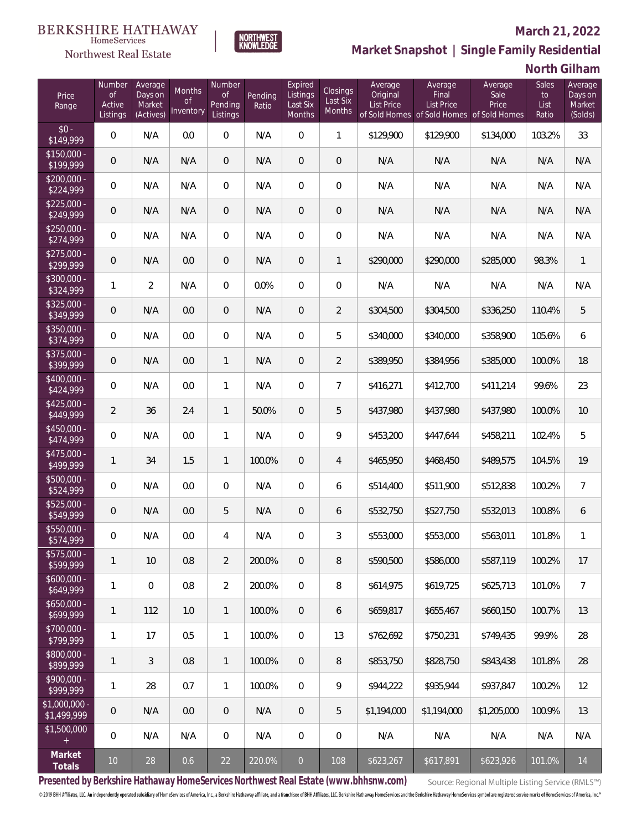# $\begin{array}{llll} \texttt{BERKSHIRE} \texttt{ HATHAWAY} \\ \texttt{\tiny HomeServices} \end{array}$

### Northwest Real Estate

#### **March 21, 2022**



| North Gilham |  |  |
|--------------|--|--|
|--------------|--|--|

| Price<br>Range               | Number<br><b>of</b><br>Active<br>Listings | Average<br>Days on<br>Market<br>(Actives) | Months<br>0f<br>Inventory | Number<br><b>of</b><br>Pending<br>Listings | Pending<br>Ratio | Expired<br>Listings<br>Last Six<br>Months | Closings<br>Last Six<br>Months | Average<br>Original<br><b>List Price</b> | Average<br>Final<br><b>List Price</b><br>of Sold Homes of Sold Homes of Sold Homes | Average<br>Sale<br>Price | Sales<br>to<br>List<br>Ratio | Average<br>Days on<br>Market<br>(Solds) |
|------------------------------|-------------------------------------------|-------------------------------------------|---------------------------|--------------------------------------------|------------------|-------------------------------------------|--------------------------------|------------------------------------------|------------------------------------------------------------------------------------|--------------------------|------------------------------|-----------------------------------------|
| $$0 -$<br>\$149,999          | 0                                         | N/A                                       | 0.0                       | $\overline{0}$                             | N/A              | $\overline{0}$                            | $\mathbf{1}$                   | \$129,900                                | \$129,900                                                                          | \$134,000                | 103.2%                       | 33                                      |
| $$150,000 -$<br>\$199,999    | 0                                         | N/A                                       | N/A                       | $\overline{0}$                             | N/A              | $\overline{0}$                            | $\overline{0}$                 | N/A                                      | N/A                                                                                | N/A                      | N/A                          | N/A                                     |
| $$200,000 -$<br>\$224,999    | 0                                         | N/A                                       | N/A                       | $\overline{0}$                             | N/A              | $\overline{0}$                            | $\overline{0}$                 | N/A                                      | N/A                                                                                | N/A                      | N/A                          | N/A                                     |
| $$225,000 -$<br>\$249,999    | 0                                         | N/A                                       | N/A                       | $\overline{0}$                             | N/A              | $\overline{0}$                            | $\mathbf 0$                    | N/A                                      | N/A                                                                                | N/A                      | N/A                          | N/A                                     |
| $$250,000 -$<br>\$274,999    | 0                                         | N/A                                       | N/A                       | $\overline{0}$                             | N/A              | $\overline{0}$                            | 0                              | N/A                                      | N/A                                                                                | N/A                      | N/A                          | N/A                                     |
| $$275,000 -$<br>\$299,999    | 0                                         | N/A                                       | 0.0                       | $\overline{0}$                             | N/A              | $\overline{0}$                            | $\mathbf{1}$                   | \$290,000                                | \$290,000                                                                          | \$285,000                | 98.3%                        | $\mathbf{1}$                            |
| $$300,000 -$<br>\$324,999    | $\mathbf{1}$                              | $\overline{a}$                            | N/A                       | $\Omega$                                   | 0.0%             | $\mathbf 0$                               | 0                              | N/A                                      | N/A                                                                                | N/A                      | N/A                          | N/A                                     |
| $$325,000 -$<br>\$349,999    | 0                                         | N/A                                       | 0.0                       | $\overline{0}$                             | N/A              | $\overline{0}$                            | $\overline{2}$                 | \$304,500                                | \$304,500                                                                          | \$336,250                | 110.4%                       | 5                                       |
| $$350,000 -$<br>\$374,999    | 0                                         | N/A                                       | 0.0                       | $\Omega$                                   | N/A              | $\overline{0}$                            | 5                              | \$340,000                                | \$340,000                                                                          | \$358,900                | 105.6%                       | 6                                       |
| $$375,000 -$<br>\$399,999    | 0                                         | N/A                                       | 0.0                       | $\mathbf{1}$                               | N/A              | $\overline{0}$                            | $\overline{2}$                 | \$389,950                                | \$384,956                                                                          | \$385,000                | 100.0%                       | 18                                      |
| $$400,000 -$<br>\$424,999    | 0                                         | N/A                                       | 0.0                       | $\mathbf{1}$                               | N/A              | $\overline{0}$                            | $\overline{7}$                 | \$416,271                                | \$412,700                                                                          | \$411,214                | 99.6%                        | 23                                      |
| $$425,000 -$<br>\$449,999    | $\overline{2}$                            | 36                                        | 2.4                       | $\mathbf{1}$                               | 50.0%            | $\overline{0}$                            | 5                              | \$437,980                                | \$437,980                                                                          | \$437,980                | 100.0%                       | 10                                      |
| $$450,000 -$<br>\$474,999    | 0                                         | N/A                                       | 0.0                       | $\mathbf{1}$                               | N/A              | $\Omega$                                  | 9                              | \$453,200                                | \$447,644                                                                          | \$458,211                | 102.4%                       | 5                                       |
| $$475,000 -$<br>\$499,999    | 1                                         | 34                                        | 1.5                       | $\mathbf{1}$                               | 100.0%           | $\overline{0}$                            | $\overline{4}$                 | \$465,950                                | \$468,450                                                                          | \$489,575                | 104.5%                       | 19                                      |
| $$500,000 -$<br>\$524,999    | 0                                         | N/A                                       | 0.0                       | $\Omega$                                   | N/A              | $\Omega$                                  | 6                              | \$514,400                                | \$511,900                                                                          | \$512,838                | 100.2%                       | $\overline{7}$                          |
| \$525,000 -<br>\$549,999     | 0                                         | N/A                                       | 0.0                       | 5                                          | N/A              | $\overline{0}$                            | 6                              | \$532,750                                | \$527,750                                                                          | \$532,013                | 100.8%                       | 6                                       |
| $$550,000 -$<br>\$574,999    | 0                                         | N/A                                       | 0.0                       | 4                                          | N/A              | $\Omega$                                  | 3                              | \$553,000                                | \$553,000                                                                          | \$563,011                | 101.8%                       | $\mathbf{1}$                            |
| \$575,000 -<br>\$599,999     | 1                                         | 10                                        | 0.8                       | $\overline{2}$                             | 200.0%           | $\mathbf 0$                               | 8                              | \$590,500                                | \$586,000                                                                          | \$587,119                | 100.2%                       | 17                                      |
| $$600,000 -$<br>\$649,999    | 1                                         | $\boldsymbol{0}$                          | 0.8                       | $\overline{2}$                             | 200.0%           | $\mathbb O$                               | 8                              | \$614,975                                | \$619,725                                                                          | \$625,713                | 101.0%                       | $\overline{7}$                          |
| $$650,000 -$<br>\$699,999    | 1                                         | 112                                       | $1.0\,$                   | $\mathbf{1}$                               | 100.0%           | $\overline{0}$                            | 6                              | \$659,817                                | \$655,467                                                                          | \$660,150                | 100.7%                       | 13                                      |
| $$700,000 -$<br>\$799,999    | 1                                         | 17                                        | 0.5                       | $\mathbf{1}$                               | 100.0%           | 0                                         | 13                             | \$762,692                                | \$750,231                                                                          | \$749,435                | 99.9%                        | 28                                      |
| $$800,000 -$<br>\$899,999    | 1                                         | 3                                         | 0.8                       | $\mathbf{1}$                               | 100.0%           | $\overline{0}$                            | 8                              | \$853,750                                | \$828,750                                                                          | \$843,438                | 101.8%                       | 28                                      |
| $$900,000 -$<br>\$999,999    | 1                                         | 28                                        | 0.7                       | $\mathbf{1}$                               | 100.0%           | 0                                         | 9                              | \$944,222                                | \$935,944                                                                          | \$937,847                | 100.2%                       | 12                                      |
| \$1,000,000 -<br>\$1,499,999 | 0                                         | N/A                                       | 0.0                       | $\overline{0}$                             | N/A              | $\overline{0}$                            | 5                              | \$1,194,000                              | \$1,194,000                                                                        | \$1,205,000              | 100.9%                       | 13                                      |
| \$1,500,000<br>$\pm$         | 0                                         | N/A                                       | N/A                       | $\overline{0}$                             | N/A              | $\mathbf 0$                               | 0                              | N/A                                      | N/A                                                                                | N/A                      | N/A                          | N/A                                     |
| Market<br>Totals             | $10\,$                                    | $28\,$                                    | 0.6                       | $22\,$                                     | 220.0%           | $\boldsymbol{0}$                          | 108                            | \$623,267                                | \$617,891                                                                          | \$623,926                | 101.0%                       | 14                                      |

NORTHWEST<br>KNOWLFDGF

**Presented by Berkshire Hathaway HomeServices Northwest Real Estate (www.bhhsnw.com)**

Source: Regional Multiple Listing Service (RMLS™)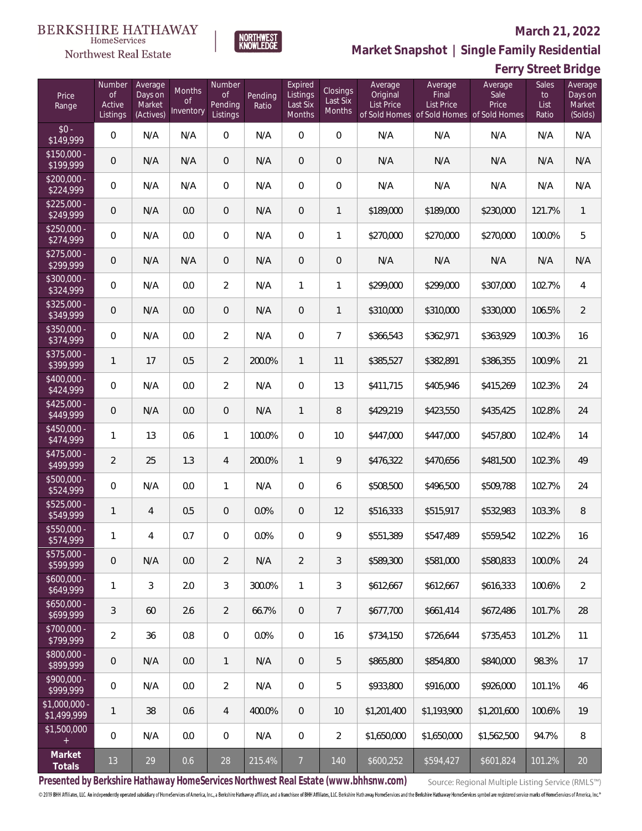#### **March 21, 2022**

Average Days on

**Ferry Street Bridge**

Sales



Number

Months

Expired **Listings** 

**Closings** 

Average **Original** 

**Market Snapshot | Single Family Residential**

Average **Sale** 

Average Final

#### BERKSHIRE HATHAWAY HomeServices

Northwest Real Estate

Number

 $\frac{1}{2}$ 

Average Days on

| Price<br>Range               | <b>of</b><br>Active<br>Listings | Days on<br>Market<br>(Actives) | Months<br>0f<br>Inventory | <b>of</b><br>Pending<br>Listings | Pending<br>Ratio | Listings<br>Last Six<br>Months | Closings<br>Last Six<br>Months | Original<br><b>List Price</b> | Final<br><b>List Price</b><br>of Sold Homes of Sold Homes of Sold Homes | Sale<br>Price | to<br>List<br>Ratio | Days or<br>Market<br>(Solds) |
|------------------------------|---------------------------------|--------------------------------|---------------------------|----------------------------------|------------------|--------------------------------|--------------------------------|-------------------------------|-------------------------------------------------------------------------|---------------|---------------------|------------------------------|
| $$0 -$<br>\$149,999          | $\overline{0}$                  | N/A                            | N/A                       | $\mathbf{0}$                     | N/A              | $\bigcirc$                     | $\overline{0}$                 | N/A                           | N/A                                                                     | N/A           | N/A                 | N/A                          |
| \$150,000 -<br>\$199,999     | 0                               | N/A                            | N/A                       | $\overline{0}$                   | N/A              | $\overline{0}$                 | $\overline{0}$                 | N/A                           | N/A                                                                     | N/A           | N/A                 | N/A                          |
| \$200,000 -<br>\$224,999     | $\overline{0}$                  | N/A                            | N/A                       | $\overline{0}$                   | N/A              | $\overline{0}$                 | $\overline{0}$                 | N/A                           | N/A                                                                     | N/A           | N/A                 | N/A                          |
| $$225,000 -$<br>\$249,999    | $\overline{0}$                  | N/A                            | 0.0                       | $\overline{0}$                   | N/A              | $\overline{0}$                 | $\mathbf{1}$                   | \$189,000                     | \$189,000                                                               | \$230,000     | 121.7%              | $\mathbf{1}$                 |
| $$250,000 -$<br>\$274,999    | $\overline{0}$                  | N/A                            | 0.0                       | $\overline{0}$                   | N/A              | $\overline{0}$                 | 1                              | \$270,000                     | \$270,000                                                               | \$270,000     | 100.0%              | 5                            |
| $$275,000 -$<br>\$299,999    | $\overline{0}$                  | N/A                            | N/A                       | $\overline{0}$                   | N/A              | $\overline{0}$                 | $\overline{0}$                 | N/A                           | N/A                                                                     | N/A           | N/A                 | N/A                          |
| \$300,000 -<br>\$324,999     | 0                               | N/A                            | 0.0                       | $\overline{2}$                   | N/A              | $\mathbf{1}$                   | 1                              | \$299,000                     | \$299,000                                                               | \$307,000     | 102.7%              | $\overline{4}$               |
| \$325,000 -<br>\$349,999     | $\overline{0}$                  | N/A                            | 0.0                       | $\overline{0}$                   | N/A              | $\mathbf{0}$                   | $\mathbf{1}$                   | \$310,000                     | \$310,000                                                               | \$330,000     | 106.5%              | $\overline{2}$               |
| \$350,000 -<br>\$374,999     | $\overline{0}$                  | N/A                            | 0.0                       | $\overline{2}$                   | N/A              | $\overline{0}$                 | $\overline{7}$                 | \$366,543                     | \$362,971                                                               | \$363,929     | 100.3%              | 16                           |
| \$375,000 -<br>\$399,999     | 1                               | 17                             | 0.5                       | $\overline{2}$                   | 200.0%           | $\mathbf{1}$                   | 11                             | \$385,527                     | \$382,891                                                               | \$386,355     | 100.9%              | 21                           |
| \$400,000 -<br>\$424,999     | $\overline{0}$                  | N/A                            | 0.0                       | $\overline{2}$                   | N/A              | $\overline{0}$                 | 13                             | \$411,715                     | \$405,946                                                               | \$415,269     | 102.3%              | 24                           |
| \$425,000 -<br>\$449,999     | 0                               | N/A                            | 0.0                       | $\overline{0}$                   | N/A              | $\mathbf{1}$                   | 8                              | \$429,219                     | \$423,550                                                               | \$435,425     | 102.8%              | 24                           |
| $$450,000 -$<br>\$474,999    | 1                               | 13                             | 0.6                       | $\mathbf{1}$                     | 100.0%           | $\overline{0}$                 | 10                             | \$447,000                     | \$447,000                                                               | \$457,800     | 102.4%              | 14                           |
| \$475,000 -<br>\$499,999     | $\overline{2}$                  | 25                             | 1.3                       | $\overline{4}$                   | 200.0%           | $\mathbf{1}$                   | 9                              | \$476,322                     | \$470,656                                                               | \$481,500     | 102.3%              | 49                           |
| \$500,000 -<br>\$524,999     | $\overline{0}$                  | N/A                            | 0.0                       | $\mathbf{1}$                     | N/A              | $\overline{0}$                 | 6                              | \$508,500                     | \$496,500                                                               | \$509,788     | 102.7%              | 24                           |
| \$525,000 -<br>\$549,999     | $\mathbf{1}$                    | 4                              | 0.5                       | $\overline{0}$                   | 0.0%             | $\mathbf{0}$                   | 12                             | \$516,333                     | \$515,917                                                               | \$532,983     | 103.3%              | $8\,$                        |
| \$550,000 -<br>\$574,999     | 1                               | 4                              | 0.7                       | $\overline{0}$                   | 0.0%             | $\overline{0}$                 | 9                              | \$551,389                     | \$547,489                                                               | \$559,542     | 102.2%              | 16                           |
| \$575,000 -<br>\$599,999     | $\mathbf 0$                     | N/A                            | 0.0                       | 2                                | N/A              | $\overline{2}$                 | 3                              | \$589,300                     | \$581,000                                                               | \$580,833     | 100.0%              | 24                           |
| \$600,000 -<br>\$649,999     | 1                               | $\mathfrak{Z}$                 | 2.0                       | $\mathfrak{Z}$                   | 300.0%           | 1                              | 3                              | \$612,667                     | \$612,667                                                               | \$616,333     | 100.6%              | $\overline{2}$               |
| $$650,000 -$<br>\$699,999    | 3                               | 60                             | 2.6                       | $\overline{2}$                   | 66.7%            | $\overline{0}$                 | 7                              | \$677,700                     | \$661,414                                                               | \$672,486     | 101.7%              | 28                           |
| \$700,000 -<br>\$799,999     | $\overline{2}$                  | 36                             | 0.8                       | $\mathbf 0$                      | 0.0%             | $\,0\,$                        | 16                             | \$734,150                     | \$726,644                                                               | \$735,453     | 101.2%              | 11                           |
| \$800,000 -<br>\$899,999     | 0                               | N/A                            | 0.0                       | $\mathbf{1}$                     | N/A              | $\mathsf{O}\xspace$            | 5                              | \$865,800                     | \$854,800                                                               | \$840,000     | 98.3%               | 17                           |
| \$900,000 -<br>\$999,999     | 0                               | N/A                            | 0.0                       | 2                                | N/A              | $\overline{0}$                 | 5                              | \$933,800                     | \$916,000                                                               | \$926,000     | 101.1%              | 46                           |
| \$1,000,000 -<br>\$1,499,999 | 1                               | 38                             | 0.6                       | 4                                | 400.0%           | $\overline{0}$                 | 10                             | \$1,201,400                   | \$1,193,900                                                             | \$1,201,600   | 100.6%              | 19                           |
| \$1,500,000<br>$+$           | 0                               | N/A                            | 0.0                       | $\mathbf 0$                      | N/A              | 0                              | $\overline{2}$                 | \$1,650,000                   | \$1,650,000                                                             | \$1,562,500   | 94.7%               | 8                            |
| Market<br>Totals             | 13                              | 29                             | 0.6                       | 28                               | 215.4%           | $\overline{7}$                 | 140                            | \$600,252                     | \$594,427                                                               | \$601,824     | 101.2%              | 20                           |
|                              |                                 |                                |                           |                                  |                  |                                |                                |                               |                                                                         |               |                     |                              |

**Presented by Berkshire Hathaway HomeServices Northwest Real Estate (www.bhhsnw.com)**

Source: Regional Multiple Listing Service (RMLS™)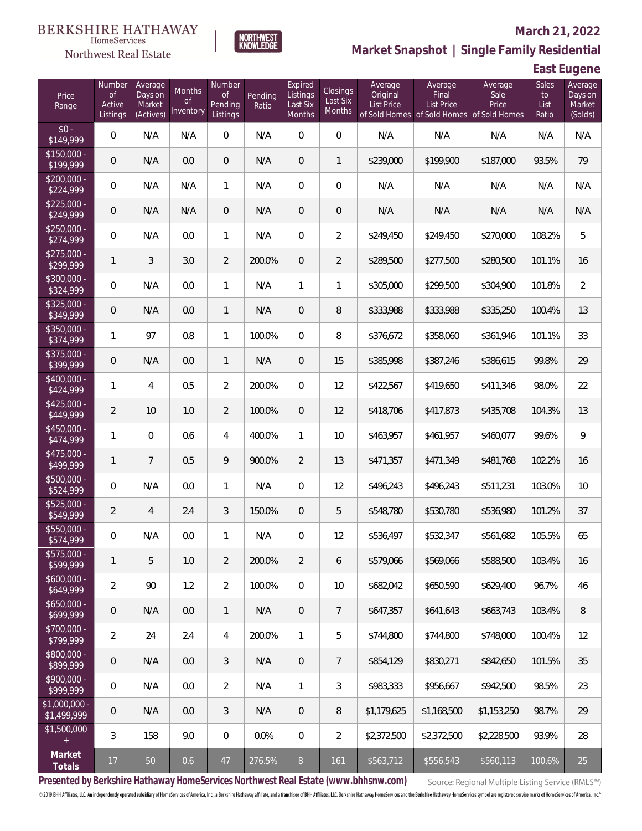

### **March 21, 2022**

**Market Snapshot | Single Family Residential**

## **East Eugene**

| Price<br>Range                      | Number<br><b>of</b><br>Active<br>Listings | Average<br>Days on<br>Market<br>(Actives) | <b>Months</b><br><b>of</b><br>Inventory | Number<br><b>of</b><br>Pending<br>Listings | Pending<br>Ratio | Expired<br>Listings<br>Last Six<br>Months | Closings<br>Last Six<br>Months | Average<br>Original<br><b>List Price</b> | Average<br>Final<br>List Price<br>of Sold Homes of Sold Homes of Sold Homes | Average<br>Sale<br>Price | Sales<br>to<br>List<br>Ratio | Average<br>Days on<br>Market<br>(Solds) |
|-------------------------------------|-------------------------------------------|-------------------------------------------|-----------------------------------------|--------------------------------------------|------------------|-------------------------------------------|--------------------------------|------------------------------------------|-----------------------------------------------------------------------------|--------------------------|------------------------------|-----------------------------------------|
| $$0 -$<br>\$149,999                 | $\overline{0}$                            | N/A                                       | N/A                                     | $\Omega$                                   | N/A              | $\Omega$                                  | $\overline{0}$                 | N/A                                      | N/A                                                                         | N/A                      | N/A                          | N/A                                     |
| $$150,000 -$<br>$\sqrt{$199,999}$   | $\overline{0}$                            | N/A                                       | 0.0                                     | $\overline{0}$                             | N/A              | $\overline{0}$                            | $\mathbf{1}$                   | \$239,000                                | \$199,900                                                                   | \$187,000                | 93.5%                        | 79                                      |
| $$200,000 -$<br>\$224,999           | $\overline{0}$                            | N/A                                       | N/A                                     | $\mathbf{1}$                               | N/A              | $\overline{0}$                            | $\overline{0}$                 | N/A                                      | N/A                                                                         | N/A                      | N/A                          | N/A                                     |
| $$225,000 -$<br>\$249,999           | $\overline{0}$                            | N/A                                       | N/A                                     | $\overline{0}$                             | N/A              | $\overline{0}$                            | $\overline{0}$                 | N/A                                      | N/A                                                                         | N/A                      | N/A                          | N/A                                     |
| $$250,000 -$<br>\$274,999           | $\overline{0}$                            | N/A                                       | 0.0                                     | $\mathbf{1}$                               | N/A              | $\overline{0}$                            | $\overline{2}$                 | \$249,450                                | \$249,450                                                                   | \$270,000                | 108.2%                       | 5                                       |
| $$275,000 -$<br>\$299,999           | $\mathbf{1}$                              | 3                                         | 3.0                                     | $\overline{2}$                             | 200.0%           | $\overline{0}$                            | $\overline{2}$                 | \$289,500                                | \$277,500                                                                   | \$280,500                | 101.1%                       | 16                                      |
| $$300,000 -$<br>\$324,999           | $\mathbf{0}$                              | N/A                                       | 0.0                                     | $\mathbf{1}$                               | N/A              | 1                                         | 1                              | \$305,000                                | \$299,500                                                                   | \$304,900                | 101.8%                       | $\overline{2}$                          |
| $$325,000 -$<br>\$349,999           | $\mathbf 0$                               | N/A                                       | 0.0                                     | $\mathbf{1}$                               | N/A              | $\overline{0}$                            | 8                              | \$333,988                                | \$333,988                                                                   | \$335,250                | 100.4%                       | 13                                      |
| $$350,000 -$<br>\$374,999           | 1                                         | 97                                        | 0.8                                     | $\mathbf{1}$                               | 100.0%           | $\Omega$                                  | 8                              | \$376,672                                | \$358,060                                                                   | \$361,946                | 101.1%                       | 33                                      |
| $$375,000 -$<br>\$399,999           | $\mathbf 0$                               | N/A                                       | 0.0                                     | $\mathbf{1}$                               | N/A              | 0                                         | 15                             | \$385,998                                | \$387,246                                                                   | \$386,615                | 99.8%                        | 29                                      |
| $$400,000 -$<br>\$424,999           | 1                                         | $\overline{4}$                            | 0.5                                     | $\overline{2}$                             | 200.0%           | $\Omega$                                  | 12                             | \$422,567                                | \$419,650                                                                   | \$411,346                | 98.0%                        | 22                                      |
| $$425,000 -$<br>\$449,999           | $\overline{2}$                            | 10                                        | 1.0                                     | $\overline{2}$                             | 100.0%           | $\overline{0}$                            | 12                             | \$418,706                                | \$417,873                                                                   | \$435,708                | 104.3%                       | 13                                      |
| $$450,000 -$<br>\$474,999           | 1                                         | $\Omega$                                  | 0.6                                     | 4                                          | 400.0%           | 1                                         | 10                             | \$463,957                                | \$461,957                                                                   | \$460,077                | 99.6%                        | 9                                       |
| $$475,000 -$<br>\$499,999           | $\mathbf{1}$                              | $\overline{7}$                            | 0.5                                     | 9                                          | 900.0%           | $\overline{2}$                            | 13                             | \$471,357                                | \$471,349                                                                   | \$481,768                | 102.2%                       | 16                                      |
| $$500,000 -$<br>\$524,999           | $\mathbf 0$                               | N/A                                       | 0.0                                     | 1                                          | N/A              | $\overline{0}$                            | 12                             | \$496,243                                | \$496,243                                                                   | \$511,231                | 103.0%                       | 10                                      |
| $$525,000 -$<br>\$549,999           | $\overline{2}$                            | $\overline{4}$                            | 2.4                                     | 3                                          | 150.0%           | $\overline{0}$                            | 5                              | \$548,780                                | \$530,780                                                                   | \$536,980                | 101.2%                       | 37                                      |
| \$550,000 -<br>\$574,999            | 0                                         | N/A                                       | 0.0                                     | 1                                          | N/A              | $\overline{0}$                            | 12                             | \$536,497                                | \$532,347                                                                   | \$561,682                | 105.5%                       | 65                                      |
| \$575,000 -<br>\$599,999            | 1                                         | 5                                         | $1.0\,$                                 | $\overline{2}$                             | 200.0%           | $\overline{2}$                            | 6                              | \$579,066                                | \$569,066                                                                   | \$588,500                | 103.4%                       | 16                                      |
| $$600,000 -$<br>\$649,999           | $\overline{2}$                            | 90                                        | 1.2                                     | $\overline{2}$                             | 100.0%           | $\overline{0}$                            | 10                             | \$682,042                                | \$650,590                                                                   | \$629,400                | 96.7%                        | 46                                      |
| $$650,000 -$<br>\$699,999           | $\boldsymbol{0}$                          | N/A                                       | 0.0                                     | $\mathbf{1}$                               | N/A              | $\overline{0}$                            | $\overline{7}$                 | \$647,357                                | \$641,643                                                                   | \$663,743                | 103.4%                       | 8                                       |
| \$700,000 -<br>\$799,999            | $\overline{2}$                            | 24                                        | 2.4                                     | 4                                          | 200.0%           | $\mathbf{1}$                              | 5                              | \$744,800                                | \$744,800                                                                   | \$748,000                | 100.4%                       | 12                                      |
| $\frac{1}{1800,000}$ -<br>\$899,999 | 0                                         | N/A                                       | 0.0                                     | 3                                          | N/A              | $\overline{0}$                            | $\overline{7}$                 | \$854,129                                | \$830,271                                                                   | \$842,650                | 101.5%                       | 35                                      |
| \$900,000 -<br>\$999,999            | 0                                         | N/A                                       | 0.0                                     | $\overline{2}$                             | N/A              | $\mathbf{1}$                              | 3                              | \$983,333                                | \$956,667                                                                   | \$942,500                | 98.5%                        | 23                                      |
| $$1,000,000$ -<br>\$1,499,999       | $\mathbf 0$                               | N/A                                       | 0.0                                     | 3                                          | N/A              | $\mathbf 0$                               | 8                              | \$1,179,625                              | \$1,168,500                                                                 | \$1,153,250              | 98.7%                        | 29                                      |
| \$1,500,000<br>$+$                  | 3                                         | 158                                       | 9.0                                     | $\mathbf 0$                                | 0.0%             | $\mathbb O$                               | $\overline{2}$                 | \$2,372,500                              | \$2,372,500                                                                 | \$2,228,500              | 93.9%                        | 28                                      |
| Market<br>Totals                    | 17                                        | $50\,$                                    | 0.6                                     | $47\,$                                     | 276.5%           | $\,8\,$                                   | 161                            | \$563,712                                | \$556,543                                                                   | \$560,113                | 100.6%                       | 25                                      |

**NORTHWEST**<br>KNOWLEDGE

**Presented by Berkshire Hathaway HomeServices Northwest Real Estate (www.bhhsnw.com)**

Source: Regional Multiple Listing Service (RMLS™)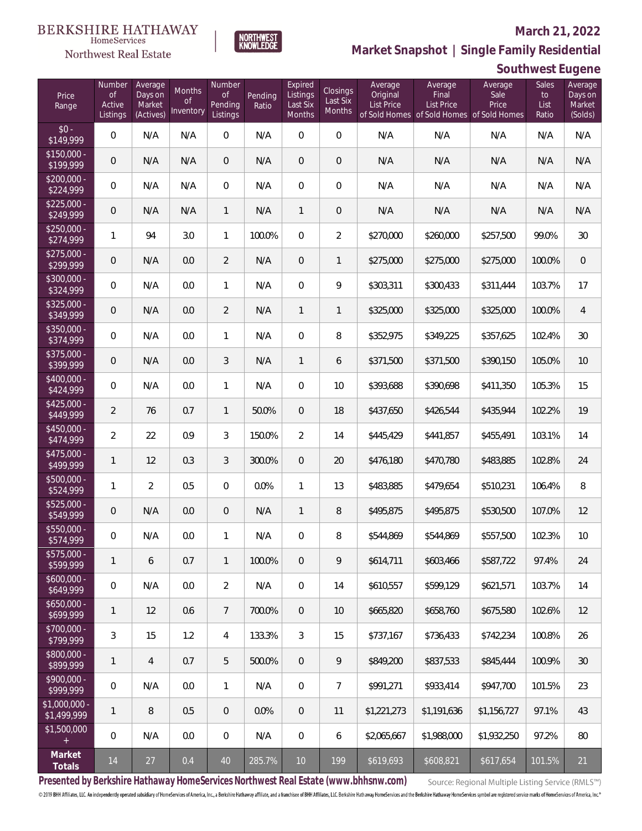#### **March 21, 2022**



**Market Snapshot | Single Family Residential**

# $\begin{array}{llll} \texttt{BERKSHIRE} \texttt{ HATHAWAY} \\ \texttt{\tiny HomeServices} \end{array}$

Northwest Real Estate

| Southwest Eugene |  |
|------------------|--|
|------------------|--|

| Price<br>Range                    | Number<br><b>of</b><br>Active<br>Listings | Average<br>Days on<br>Market<br>(Actives) | <b>Months</b><br><b>of</b><br>Inventory | Number<br><b>of</b><br>Pending<br>Listings | Pending<br>Ratio | Expired<br>Listings<br>Last Six<br>Months | Closings<br>Last Six<br>Months | Average<br>Original<br><b>List Price</b> | Average<br>Final<br>List Price<br>of Sold Homes of Sold Homes of Sold Homes | Average<br>Sale<br>Price | Sales<br>$\mathsf{to}$<br>List<br>Ratio | Average<br>Days on<br>Market<br>(Solds) |
|-----------------------------------|-------------------------------------------|-------------------------------------------|-----------------------------------------|--------------------------------------------|------------------|-------------------------------------------|--------------------------------|------------------------------------------|-----------------------------------------------------------------------------|--------------------------|-----------------------------------------|-----------------------------------------|
| $$0 -$<br>\$149,999               | $\boldsymbol{0}$                          | N/A                                       | N/A                                     | $\overline{0}$                             | N/A              | $\mathbf 0$                               | $\overline{0}$                 | N/A                                      | N/A                                                                         | N/A                      | N/A                                     | N/A                                     |
| $$150,000 -$<br>\$199,999         | $\mathbf 0$                               | N/A                                       | N/A                                     | $\boldsymbol{0}$                           | N/A              | $\overline{0}$                            | $\mathbf 0$                    | N/A                                      | N/A                                                                         | N/A                      | N/A                                     | N/A                                     |
| $$200,000 -$<br>\$224,999         | $\boldsymbol{0}$                          | N/A                                       | N/A                                     | $\overline{0}$                             | N/A              | $\overline{0}$                            | $\boldsymbol{0}$               | N/A                                      | N/A                                                                         | N/A                      | N/A                                     | N/A                                     |
| $$225,000 -$<br>\$249,999         | $\mathbf 0$                               | N/A                                       | N/A                                     | $\mathbf{1}$                               | N/A              | 1                                         | $\mathbf 0$                    | N/A                                      | N/A                                                                         | N/A                      | N/A                                     | N/A                                     |
| $$250,000 -$<br>\$274,999         | 1                                         | 94                                        | 3.0                                     | $\mathbf{1}$                               | 100.0%           | $\Omega$                                  | $\overline{2}$                 | \$270,000                                | \$260,000                                                                   | \$257,500                | 99.0%                                   | 30 <sup>°</sup>                         |
| $$275,000 -$<br>\$299,999         | $\mathbf 0$                               | N/A                                       | 0.0                                     | $\overline{2}$                             | N/A              | $\overline{0}$                            | $\mathbf{1}$                   | \$275,000                                | \$275,000                                                                   | \$275,000                | 100.0%                                  | $\overline{0}$                          |
| $$300,000 -$<br>\$324,999         | $\boldsymbol{0}$                          | N/A                                       | 0.0                                     | $\mathbf{1}$                               | N/A              | $\mathbf 0$                               | 9                              | \$303,311                                | \$300,433                                                                   | \$311,444                | 103.7%                                  | 17                                      |
| $$325,000 -$<br>\$349,999         | $\mathbf 0$                               | N/A                                       | 0.0                                     | $\overline{2}$                             | N/A              | $\mathbf{1}$                              | $\mathbf{1}$                   | \$325,000                                | \$325,000                                                                   | \$325,000                | 100.0%                                  | $\overline{4}$                          |
| $$350,000 -$<br>\$374,999         | $\boldsymbol{0}$                          | N/A                                       | 0.0                                     | $\mathbf{1}$                               | N/A              | $\overline{0}$                            | 8                              | \$352,975                                | \$349,225                                                                   | \$357,625                | 102.4%                                  | 30                                      |
| $$375,000 -$<br>\$399,999         | $\mathbf 0$                               | N/A                                       | 0.0                                     | 3                                          | N/A              | $\mathbf{1}$                              | 6                              | \$371,500                                | \$371,500                                                                   | \$390,150                | 105.0%                                  | 10                                      |
| $$400,000 -$<br>\$424,999         | $\boldsymbol{0}$                          | N/A                                       | 0.0                                     | $\mathbf{1}$                               | N/A              | $\overline{0}$                            | 10                             | \$393,688                                | \$390,698                                                                   | \$411,350                | 105.3%                                  | 15                                      |
| $$425,000 -$<br>\$449,999         | $\overline{2}$                            | 76                                        | 0.7                                     | $\mathbf{1}$                               | 50.0%            | $\overline{0}$                            | 18                             | \$437,650                                | \$426,544                                                                   | \$435,944                | 102.2%                                  | 19                                      |
| $$450,000 -$<br>\$474,999         | $\overline{2}$                            | 22                                        | 0.9                                     | 3                                          | 150.0%           | $\overline{2}$                            | 14                             | \$445,429                                | \$441,857                                                                   | \$455,491                | 103.1%                                  | 14                                      |
| $$475,000 -$<br>\$499,999         | 1                                         | 12                                        | 0.3                                     | 3                                          | 300.0%           | $\overline{0}$                            | 20                             | \$476,180                                | \$470,780                                                                   | \$483,885                | 102.8%                                  | 24                                      |
| $$500.000 -$<br>$\sqrt{$524,999}$ | 1                                         | $\overline{a}$                            | 0.5                                     | $\overline{0}$                             | 0.0%             | 1                                         | 13                             | \$483,885                                | \$479,654                                                                   | \$510,231                | 106.4%                                  | 8                                       |
| $$525,000 -$<br>\$549,999         | $\mathbf 0$                               | N/A                                       | 0.0                                     | $\overline{0}$                             | N/A              | $\mathbf{1}$                              | $\, 8$                         | \$495,875                                | \$495,875                                                                   | \$530,500                | 107.0%                                  | 12                                      |
| $$550,000 -$<br>\$574,999         | 0                                         | N/A                                       | 0.0                                     | $\mathbf{1}$                               | N/A              | $\overline{0}$                            | 8                              | \$544,869                                | \$544,869                                                                   | \$557,500                | 102.3%                                  | 10                                      |
| \$575,000 -<br>\$599,999          | 1                                         | 6                                         | 0.7                                     | $\mathbf{1}$                               | 100.0%           | 0                                         | 9                              | \$614,711                                | \$603,466                                                                   | \$587,722                | 97.4%                                   | 24                                      |
| $$600,000 -$<br>\$649,999         | 0                                         | N/A                                       | 0.0                                     | $\overline{2}$                             | N/A              | $\mathbf 0$                               | 14                             | \$610,557                                | \$599,129                                                                   | \$621,571                | 103.7%                                  | 14                                      |
| \$650,000 -<br>\$699,999          | 1                                         | 12                                        | 0.6                                     | $7\phantom{.}$                             | 700.0%           | $\overline{0}$                            | 10                             | \$665,820                                | \$658,760                                                                   | \$675,580                | 102.6%                                  | 12                                      |
| \$700,000 -<br>\$799,999          | 3                                         | 15                                        | 1.2                                     | 4                                          | 133.3%           | 3                                         | 15                             | \$737,167                                | \$736,433                                                                   | \$742,234                | 100.8%                                  | 26                                      |
| \$800,000 -<br>\$899,999          | 1                                         | $\overline{4}$                            | 0.7                                     | 5                                          | 500.0%           | $\overline{0}$                            | 9                              | \$849,200                                | \$837,533                                                                   | \$845,444                | 100.9%                                  | $30\,$                                  |
| \$900,000 -<br>\$999,999          | 0                                         | N/A                                       | 0.0                                     | 1                                          | N/A              | $\mathbf 0$                               | 7                              | \$991,271                                | \$933,414                                                                   | \$947,700                | 101.5%                                  | 23                                      |
| \$1,000,000 -<br>\$1,499,999      | 1                                         | 8                                         | 0.5                                     | $\overline{0}$                             | 0.0%             | $\overline{0}$                            | 11                             | \$1,221,273                              | \$1,191,636                                                                 | \$1,156,727              | 97.1%                                   | 43                                      |
| \$1,500,000<br>$^{+}$             | $\overline{0}$                            | N/A                                       | 0.0                                     | $\overline{0}$                             | N/A              | $\mathbb O$                               | 6                              | \$2,065,667                              | \$1,988,000                                                                 | \$1,932,250              | 97.2%                                   | 80                                      |
| Market<br>Totals                  | 14                                        | $27$                                      | $0.4\,$                                 | $40\,$                                     | 285.7%           | 10 <sup>°</sup>                           | 199                            | \$619,693                                | \$608,821                                                                   | \$617,654                | 101.5%                                  | 21                                      |

**Presented by Berkshire Hathaway HomeServices Northwest Real Estate (www.bhhsnw.com)**

Source: Regional Multiple Listing Service (RMLS™)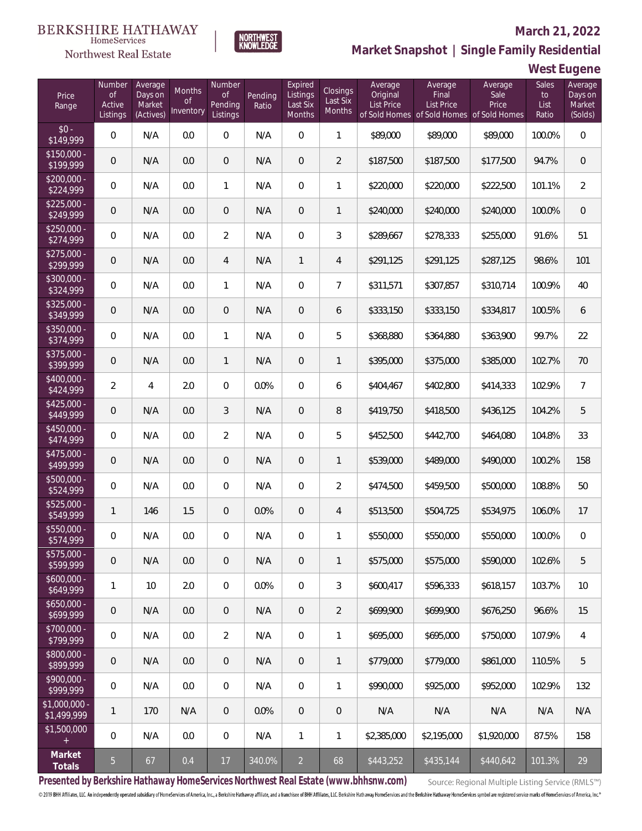### Northwest Real Estate

#### **March 21, 2022**



# **Market Snapshot | Single Family Residential**

**West Eugene**

| Price<br>Range                    | Number<br><b>of</b><br>Active<br>Listings | Average<br>Days on<br>Market<br>(Actives) | <b>Months</b><br><b>of</b><br>Inventory | Number<br><b>of</b><br>Pending<br>Listings | Pending<br>Ratio | Expired<br>Listings<br>Last Six<br>Months | Closings<br>Last Six<br>Months | Average<br>Original<br>List Price | Average<br>Final<br><b>List Price</b><br>of Sold Homes of Sold Homes of Sold Homes | Average<br>Sale<br>Price | Sales<br>to<br>List<br>Ratio | Average<br>Days on<br>Market<br>(Solds) |
|-----------------------------------|-------------------------------------------|-------------------------------------------|-----------------------------------------|--------------------------------------------|------------------|-------------------------------------------|--------------------------------|-----------------------------------|------------------------------------------------------------------------------------|--------------------------|------------------------------|-----------------------------------------|
| $$0 -$<br>\$149,999               | $\overline{0}$                            | N/A                                       | 0.0                                     | $\overline{0}$                             | N/A              | $\overline{0}$                            | 1                              | \$89,000                          | \$89,000                                                                           | \$89,000                 | 100.0%                       | $\overline{0}$                          |
| $$150,000 -$<br>\$199,999         | $\overline{0}$                            | N/A                                       | 0.0                                     | $\overline{0}$                             | N/A              | $\overline{0}$                            | $\overline{2}$                 | \$187,500                         | \$187,500                                                                          | \$177,500                | 94.7%                        | $\overline{0}$                          |
| $$200,000 -$<br>\$224,999         | $\overline{0}$                            | N/A                                       | 0.0                                     | $\mathbf{1}$                               | N/A              | $\Omega$                                  | 1                              | \$220,000                         | \$220,000                                                                          | \$222,500                | 101.1%                       | $\overline{2}$                          |
| $$225,000 -$<br>\$249,999         | $\overline{0}$                            | N/A                                       | 0.0                                     | $\overline{0}$                             | N/A              | $\overline{0}$                            | $\mathbf{1}$                   | \$240,000                         | \$240,000                                                                          | \$240,000                | 100.0%                       | $\overline{0}$                          |
| $$250,000 -$<br>\$274,999         | $\overline{0}$                            | N/A                                       | 0.0                                     | $\overline{2}$                             | N/A              | $\overline{0}$                            | 3                              | \$289,667                         | \$278,333                                                                          | \$255,000                | 91.6%                        | 51                                      |
| $$275,000 -$<br>\$299,999         | $\overline{0}$                            | N/A                                       | 0.0                                     | $\overline{4}$                             | N/A              | $\mathbf{1}$                              | 4                              | \$291,125                         | \$291,125                                                                          | \$287,125                | 98.6%                        | 101                                     |
| \$300,000 -<br>\$324,999          | $\overline{0}$                            | N/A                                       | 0.0                                     | $\mathbf{1}$                               | N/A              | $\overline{0}$                            | $\overline{7}$                 | \$311,571                         | \$307,857                                                                          | \$310,714                | 100.9%                       | 40                                      |
| $$325,000 -$<br>\$349,999         | $\mathbf 0$                               | N/A                                       | 0.0                                     | $\overline{0}$                             | N/A              | $\overline{0}$                            | 6                              | \$333,150                         | \$333,150                                                                          | \$334,817                | 100.5%                       | 6                                       |
| $$350,000 -$<br>\$374,999         | 0                                         | N/A                                       | 0.0                                     | 1                                          | N/A              | $\overline{0}$                            | 5                              | \$368,880                         | \$364,880                                                                          | \$363,900                | 99.7%                        | 22                                      |
| $$375,000 -$<br>\$399,999         | $\mathbf 0$                               | N/A                                       | 0.0                                     | $\mathbf{1}$                               | N/A              | $\overline{0}$                            | $\mathbf{1}$                   | \$395,000                         | \$375,000                                                                          | \$385,000                | 102.7%                       | 70                                      |
| $$400,000 -$<br>\$424,999         | $\overline{2}$                            | $\overline{4}$                            | 2.0                                     | $\mathbf{0}$                               | 0.0%             | $\overline{0}$                            | 6                              | \$404,467                         | \$402,800                                                                          | \$414,333                | 102.9%                       | $\overline{7}$                          |
| $$425,000 -$<br>\$449,999         | $\overline{0}$                            | N/A                                       | 0.0                                     | 3                                          | N/A              | 0                                         | 8                              | \$419,750                         | \$418,500                                                                          | \$436,125                | 104.2%                       | 5                                       |
| $$450,000 -$<br>$\sqrt{$474,999}$ | $\overline{0}$                            | N/A                                       | 0.0                                     | $\overline{2}$                             | N/A              | $\Omega$                                  | 5                              | \$452,500                         | \$442,700                                                                          | \$464,080                | 104.8%                       | 33                                      |
| $$475,000 -$<br>\$499,999         | $\overline{0}$                            | N/A                                       | 0.0                                     | $\overline{0}$                             | N/A              | $\overline{0}$                            | $\mathbf{1}$                   | \$539,000                         | \$489,000                                                                          | \$490,000                | 100.2%                       | 158                                     |
| $$500,000 -$<br>\$524,999         | $\overline{0}$                            | N/A                                       | 0.0                                     | $\mathbf{0}$                               | N/A              | $\Omega$                                  | $\overline{2}$                 | \$474,500                         | \$459,500                                                                          | \$500,000                | 108.8%                       | 50                                      |
| $$525,000 -$<br>\$549,999         | $\mathbf{1}$                              | 146                                       | 1.5                                     | $\overline{0}$                             | 0.0%             | 0                                         | 4                              | \$513,500                         | \$504,725                                                                          | \$534,975                | 106.0%                       | 17                                      |
| \$550,000 -<br>\$574,999          | 0                                         | N/A                                       | 0.0                                     | $\overline{0}$                             | N/A              | $\overline{0}$                            | 1                              | \$550,000                         | \$550,000                                                                          | \$550,000                | 100.0%                       | $\mathbf 0$                             |
| \$575,000 -<br>\$599,999          | 0                                         | N/A                                       | 0.0                                     | $\mathbf 0$                                | N/A              | $\mathsf{O}\xspace$                       | 1                              | \$575,000                         | \$575,000                                                                          | \$590,000                | 102.6%                       | 5                                       |
| $$600,000 -$<br>\$649,999         | 1                                         | 10                                        | 2.0                                     | $\mathbf 0$                                | 0.0%             | $\overline{0}$                            | 3                              | \$600,417                         | \$596,333                                                                          | \$618,157                | 103.7%                       | 10                                      |
| $$650,000 -$<br>\$699,999         | 0                                         | N/A                                       | 0.0                                     | $\mathbf{0}$                               | N/A              | $\mathbf 0$                               | $\overline{2}$                 | \$699,900                         | \$699,900                                                                          | \$676,250                | 96.6%                        | 15                                      |
| \$700,000 -<br>\$799,999          | $\,0\,$                                   | N/A                                       | 0.0                                     | $\overline{2}$                             | N/A              | $\mathbb O$                               | 1                              | \$695,000                         | \$695,000                                                                          | \$750,000                | 107.9%                       | $\overline{4}$                          |
| \$800,000 -<br>\$899,999          | 0                                         | N/A                                       | 0.0                                     | $\mathbf{0}$                               | N/A              | $\overline{0}$                            | 1                              | \$779,000                         | \$779,000                                                                          | \$861,000                | 110.5%                       | 5                                       |
| \$900,000 -<br>\$999,999          | $\,0\,$                                   | N/A                                       | 0.0                                     | $\mathbf 0$                                | N/A              | $\mathbf 0$                               | 1                              | \$990,000                         | \$925,000                                                                          | \$952,000                | 102.9%                       | 132                                     |
| \$1,000,000 -<br>\$1,499,999      | $\mathbf{1}$                              | 170                                       | N/A                                     | $\mathbf{0}$                               | 0.0%             | $\mathbf 0$                               | $\mathbf 0$                    | N/A                               | N/A                                                                                | N/A                      | N/A                          | N/A                                     |
| \$1,500,000<br>$+$                | $\mathbf{0}$                              | N/A                                       | 0.0                                     | $\mathbf 0$                                | N/A              | $\mathbf{1}$                              | $\mathbf{1}$                   | \$2,385,000                       | \$2,195,000                                                                        | \$1,920,000              | 87.5%                        | 158                                     |
| Market<br>Totals                  | $\overline{5}$                            | 67                                        | 0.4                                     | $17$                                       | 340.0%           | $\overline{2}$                            | 68                             | \$443,252                         | \$435,144                                                                          | \$440,642                | 101.3%                       | 29                                      |

**Presented by Berkshire Hathaway HomeServices Northwest Real Estate (www.bhhsnw.com)**

Source: Regional Multiple Listing Service (RMLS™)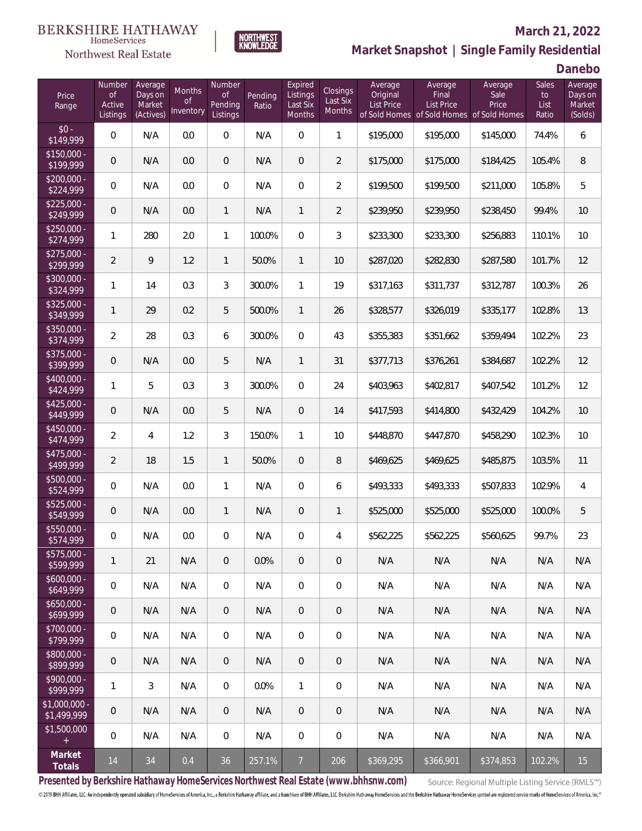

### **March 21, 2022**



**Danebo**

| Price<br>Range               | Number<br><b>of</b><br>Active<br>Listings | Average<br>Days on<br>Market<br>(Actives) | <b>Months</b><br><b>of</b><br>Inventory | Number<br>0f<br>Pending<br>Listings | Pending<br>Ratio | Expired<br>Listings<br>Last Six<br>Months | Closings<br>Last Six<br>Months | Average<br>Original<br><b>List Price</b> | Average<br>Final<br><b>List Price</b> | Average<br>Sale<br>Price<br>of Sold Homes of Sold Homes of Sold Homes | <b>Sales</b><br>to<br>List<br>Ratio | Average<br>Days on<br>Market<br>(Solds) |
|------------------------------|-------------------------------------------|-------------------------------------------|-----------------------------------------|-------------------------------------|------------------|-------------------------------------------|--------------------------------|------------------------------------------|---------------------------------------|-----------------------------------------------------------------------|-------------------------------------|-----------------------------------------|
| $$0 -$<br>\$149,999          | $\mathbf 0$                               | N/A                                       | 0.0                                     | $\boldsymbol{0}$                    | N/A              | $\mathbf 0$                               | $\mathbf{1}$                   | \$195,000                                | \$195,000                             | \$145,000                                                             | 74.4%                               | 6                                       |
| $$150,000 -$<br>\$199,999    | 0                                         | N/A                                       | 0.0                                     | $\overline{0}$                      | N/A              | $\overline{0}$                            | $\overline{2}$                 | \$175,000                                | \$175,000                             | \$184,425                                                             | 105.4%                              | 8                                       |
| \$200,000 -<br>\$224,999     | $\mathbf 0$                               | N/A                                       | 0.0                                     | $\overline{0}$                      | N/A              | $\overline{0}$                            | $\overline{2}$                 | \$199,500                                | \$199,500                             | \$211,000                                                             | 105.8%                              | 5                                       |
| $$225,000 -$<br>\$249,999    | $\theta$                                  | N/A                                       | 0.0                                     | $\mathbf{1}$                        | N/A              | $\mathbf{1}$                              | $\overline{2}$                 | \$239,950                                | \$239,950                             | \$238,450                                                             | 99.4%                               | 10                                      |
| $$250,000 -$<br>\$274,999    | 1                                         | 280                                       | 2.0                                     | $\mathbf{1}$                        | 100.0%           | $\overline{0}$                            | 3                              | \$233,300                                | \$233,300                             | \$256,883                                                             | 110.1%                              | 10                                      |
| $$275,000 -$<br>\$299,999    | $\overline{2}$                            | $\mathsf{Q}$                              | 1.2                                     | $\mathbf{1}$                        | 50.0%            | $\mathbf{1}$                              | 10                             | \$287,020                                | \$282,830                             | \$287,580                                                             | 101.7%                              | 12                                      |
| $$300,000 -$<br>\$324,999    | 1                                         | 14                                        | 0.3                                     | 3                                   | 300.0%           | $\mathbf{1}$                              | 19                             | \$317,163                                | \$311,737                             | \$312,787                                                             | 100.3%                              | 26                                      |
| $$325.000 -$<br>\$349,999    | $\mathbf{1}$                              | 29                                        | 0.2                                     | 5                                   | 500.0%           | $\mathbf{1}$                              | 26                             | \$328,577                                | \$326,019                             | \$335,177                                                             | 102.8%                              | 13                                      |
| \$350,000 -<br>\$374,999     | $\overline{2}$                            | 28                                        | 0.3                                     | 6                                   | 300.0%           | $\overline{0}$                            | 43                             | \$355,383                                | \$351,662                             | \$359,494                                                             | 102.2%                              | 23                                      |
| \$375,000 -<br>\$399,999     | 0                                         | N/A                                       | 0.0                                     | 5                                   | N/A              | $\mathbf{1}$                              | 31                             | \$377,713                                | \$376,261                             | \$384,687                                                             | 102.2%                              | 12                                      |
| \$400,000 -<br>\$424,999     | 1                                         | 5                                         | 0.3                                     | 3                                   | 300.0%           | $\overline{0}$                            | 24                             | \$403,963                                | \$402,817                             | \$407,542                                                             | 101.2%                              | 12                                      |
| $$425,000 -$<br>\$449,999    | 0                                         | N/A                                       | 0.0                                     | 5                                   | N/A              | $\overline{0}$                            | 14                             | \$417,593                                | \$414,800                             | \$432,429                                                             | 104.2%                              | 10                                      |
| \$450,000 -<br>\$474,999     | $\overline{2}$                            | $\overline{4}$                            | 1.2                                     | 3                                   | 150.0%           | $\mathbf{1}$                              | 10                             | \$448,870                                | \$447,870                             | \$458,290                                                             | 102.3%                              | 10                                      |
| \$475,000 -<br>\$499,999     | $\overline{a}$                            | 18                                        | 1.5                                     | $\mathbf{1}$                        | 50.0%            | $\overline{0}$                            | 8                              | \$469,625                                | \$469,625                             | \$485,875                                                             | 103.5%                              | 11                                      |
| \$500,000 -<br>\$524,999     | $\mathbf 0$                               | N/A                                       | 0.0                                     | $\mathbf{1}$                        | N/A              | $\overline{0}$                            | 6                              | \$493,333                                | \$493,333                             | \$507,833                                                             | 102.9%                              | 4                                       |
| \$525,000 -<br>\$549,999     | 0                                         | N/A                                       | 0.0                                     | $\mathbf{1}$                        | N/A              | $\mathbf{0}$                              | $\mathbf{1}$                   | \$525,000                                | \$525,000                             | \$525,000                                                             | 100.0%                              | 5                                       |
| \$550,000 -<br>\$574,999     | 0                                         | N/A                                       | $0.0\,$                                 | $\overline{0}$                      | N/A              | $\overline{0}$                            | 4                              | \$562,225                                | \$562,225                             | \$560,625                                                             | 99.7%                               | 23                                      |
| \$575,000 -<br>\$599,999     | 1                                         | 21                                        | N/A                                     | $\mathbf 0$                         | 0.0%             | $\mathbf 0$                               | $\overline{0}$                 | N/A                                      | N/A                                   | N/A                                                                   | N/A                                 | N/A                                     |
| $$600,000 -$<br>\$649,999    | $\overline{0}$                            | N/A                                       | N/A                                     | $\mathbf 0$                         | N/A              | $\mathbf 0$                               | $\boldsymbol{0}$               | N/A                                      | N/A                                   | N/A                                                                   | N/A                                 | N/A                                     |
| $$650,000 -$<br>\$699,999    | $\theta$                                  | N/A                                       | N/A                                     | $\mathbf{0}$                        | N/A              | $\overline{0}$                            | $\overline{0}$                 | N/A                                      | N/A                                   | N/A                                                                   | N/A                                 | N/A                                     |
| \$700,000 -<br>\$799,999     | $\mathbf 0$                               | N/A                                       | N/A                                     | $\mathbf{0}$                        | N/A              | $\mathbf 0$                               | $\overline{0}$                 | N/A                                      | N/A                                   | N/A                                                                   | N/A                                 | N/A                                     |
| \$800,000 -<br>\$899,999     | $\mathbf 0$                               | N/A                                       | N/A                                     | $\mathbf{0}$                        | N/A              | $\overline{0}$                            | $\overline{0}$                 | N/A                                      | N/A                                   | N/A                                                                   | N/A                                 | N/A                                     |
| \$900,000 -<br>\$999,999     | 1                                         | 3                                         | N/A                                     | $\mathbf 0$                         | 0.0%             | $\mathbf{1}$                              | $\boldsymbol{0}$               | N/A                                      | N/A                                   | N/A                                                                   | N/A                                 | N/A                                     |
| \$1,000,000 -<br>\$1,499,999 | $\mathbf 0$                               | N/A                                       | N/A                                     | $\mathbf{0}$                        | N/A              | $\overline{0}$                            | $\overline{0}$                 | N/A                                      | N/A                                   | N/A                                                                   | N/A                                 | N/A                                     |
| \$1,500,000<br>$\pm$         | $\mathbf 0$                               | N/A                                       | N/A                                     | $\mathbf{0}$                        | N/A              | $\overline{0}$                            | $\overline{0}$                 | N/A                                      | N/A                                   | N/A                                                                   | N/A                                 | N/A                                     |
| Market<br>Totals             | 14                                        | 34                                        | 0.4                                     | 36                                  | 257.1%           | $\overline{7}$                            | 206                            | \$369,295                                | \$366,901                             | \$374,853                                                             | 102.2%                              | 15                                      |

**NORTHWEST**<br>KNOWLEDGE

**Presented by Berkshire Hathaway HomeServices Northwest Real Estate (www.bhhsnw.com)**

Source: Regional Multiple Listing Service (RMLS™)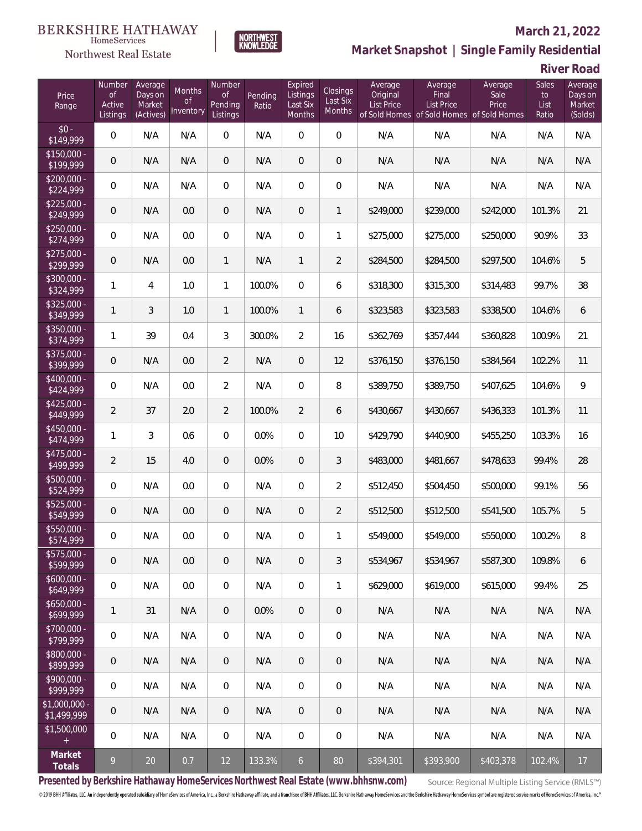## Northwest Real Estate

### **March 21, 2022**



# **Market Snapshot | Single Family Residential**

**River Road**

| Price<br>Range                | Number<br><b>of</b><br>Active<br>Listings | Average<br>Days on<br>Market<br>(Actives) | Months<br>Οf<br>Inventory | Number<br><b>of</b><br>Pending<br>Listings | Pending<br>Ratio | Expired<br>Listings<br>Last Six<br>Months | Closings<br>Last Six<br>Months | Average<br>Original<br><b>List Price</b> | Average<br>Final<br><b>List Price</b> | Average<br>Sale<br>Price<br>of Sold Homes of Sold Homes of Sold Homes | Sales<br>to<br>List<br>Ratio | Average<br>Days on<br>Market<br>(Solds) |
|-------------------------------|-------------------------------------------|-------------------------------------------|---------------------------|--------------------------------------------|------------------|-------------------------------------------|--------------------------------|------------------------------------------|---------------------------------------|-----------------------------------------------------------------------|------------------------------|-----------------------------------------|
| $$0 -$<br>\$149,999           | $\overline{0}$                            | N/A                                       | N/A                       | $\overline{0}$                             | N/A              | $\overline{0}$                            | $\overline{0}$                 | N/A                                      | N/A                                   | N/A                                                                   | N/A                          | N/A                                     |
| $$150,000 -$<br>\$199,999     | $\overline{0}$                            | N/A                                       | N/A                       | $\overline{0}$                             | N/A              | $\overline{0}$                            | 0                              | N/A                                      | N/A                                   | N/A                                                                   | N/A                          | N/A                                     |
| $$200,000 -$<br>\$224,999     | $\overline{0}$                            | N/A                                       | N/A                       | $\overline{0}$                             | N/A              | $\overline{0}$                            | 0                              | N/A                                      | N/A                                   | N/A                                                                   | N/A                          | N/A                                     |
| $$225,000 -$<br>\$249,999     | $\overline{0}$                            | N/A                                       | 0.0                       | $\overline{0}$                             | N/A              | $\overline{0}$                            | $\mathbf{1}$                   | \$249,000                                | \$239,000                             | \$242,000                                                             | 101.3%                       | 21                                      |
| $$250,000 -$<br>\$274,999     | $\overline{0}$                            | N/A                                       | 0.0                       | $\mathbf{0}$                               | N/A              | $\overline{0}$                            | $\mathbf{1}$                   | \$275,000                                | \$275,000                             | \$250,000                                                             | 90.9%                        | 33                                      |
| $$275,000 -$<br>\$299,999     | $\sqrt{0}$                                | N/A                                       | 0.0                       | $\mathbf{1}$                               | N/A              | $\mathbf{1}$                              | $\overline{2}$                 | \$284,500                                | \$284,500                             | \$297,500                                                             | 104.6%                       | 5                                       |
| $$300,000 -$<br>\$324,999     | $\mathbf{1}$                              | $\overline{4}$                            | 1.0                       | $\mathbf{1}$                               | 100.0%           | $\mathbf 0$                               | 6                              | \$318,300                                | \$315,300                             | \$314,483                                                             | 99.7%                        | 38                                      |
| $$325,000 -$<br>\$349,999     | $\mathbf{1}$                              | 3                                         | 1.0                       | $\mathbf{1}$                               | 100.0%           | $\mathbf{1}$                              | 6                              | \$323,583                                | \$323,583                             | \$338,500                                                             | 104.6%                       | 6                                       |
| $$350,000 -$<br>\$374,999     | $\mathbf{1}$                              | 39                                        | 0.4                       | 3                                          | 300.0%           | $\overline{2}$                            | 16                             | \$362,769                                | \$357,444                             | \$360,828                                                             | 100.9%                       | 21                                      |
| $$375,000 -$<br>\$399,999     | $\sqrt{0}$                                | N/A                                       | 0.0                       | $\overline{2}$                             | N/A              | $\overline{0}$                            | 12                             | \$376,150                                | \$376,150                             | \$384,564                                                             | 102.2%                       | 11                                      |
| \$400,000 -<br>\$424,999      | $\overline{0}$                            | N/A                                       | 0.0                       | $\overline{2}$                             | N/A              | $\overline{0}$                            | 8                              | \$389,750                                | \$389,750                             | \$407,625                                                             | 104.6%                       | 9                                       |
| $$425,000 -$<br>\$449,999     | $\overline{2}$                            | 37                                        | 2.0                       | $\overline{2}$                             | 100.0%           | $\overline{2}$                            | 6                              | \$430,667                                | \$430,667                             | \$436,333                                                             | 101.3%                       | 11                                      |
| $$450,000 -$<br>\$474,999     | $\mathbf{1}$                              | 3                                         | 0.6                       | $\overline{0}$                             | 0.0%             | $\overline{0}$                            | 10                             | \$429,790                                | \$440,900                             | \$455,250                                                             | 103.3%                       | 16                                      |
| $$475,000 -$<br>\$499,999     | $\overline{2}$                            | 15                                        | 4.0                       | $\mathbf{0}$                               | 0.0%             | $\overline{0}$                            | 3                              | \$483,000                                | \$481,667                             | \$478,633                                                             | 99.4%                        | 28                                      |
| $$500,000 -$<br>\$524,999     | 0                                         | N/A                                       | 0.0                       | $\mathbf{0}$                               | N/A              | $\Omega$                                  | $\overline{2}$                 | \$512,450                                | \$504,450                             | \$500,000                                                             | 99.1%                        | 56                                      |
| $$525,000 -$<br>\$549,999     | $\overline{0}$                            | N/A                                       | 0.0                       | $\mathbf{0}$                               | N/A              | $\overline{0}$                            | $\overline{2}$                 | \$512,500                                | \$512,500                             | \$541,500                                                             | 105.7%                       | 5                                       |
| \$550,000 -<br>\$574,999      | $\overline{0}$                            | N/A                                       | 0.0                       | $\Omega$                                   | N/A              | $\Omega$                                  | $\mathbf{1}$                   | \$549,000                                | \$549,000                             | \$550,000                                                             | 100.2%                       | 8                                       |
| \$575,000 -<br>\$599,999      | 0                                         | N/A                                       | 0.0                       | $\mathbf 0$                                | N/A              | $\mathbf 0$                               | 3                              | \$534,967                                | \$534,967                             | \$587,300                                                             | 109.8%                       | 6                                       |
| $$600,000 -$<br>\$649,999     | $\,0\,$                                   | N/A                                       | 0.0                       | $\mathbf 0$                                | N/A              | $\mathbf 0$                               | $\mathbf{1}$                   | \$629,000                                | \$619,000                             | \$615,000                                                             | 99.4%                        | 25                                      |
| $$650,000 -$<br>\$699,999     | $\mathbf{1}$                              | 31                                        | N/A                       | $\mathbf{0}$                               | 0.0%             | $\overline{0}$                            | 0                              | N/A                                      | N/A                                   | N/A                                                                   | N/A                          | N/A                                     |
| \$700,000 -<br>\$799,999      | 0                                         | N/A                                       | N/A                       | $\mathbf{0}$                               | N/A              | 0                                         | $\mathbf 0$                    | N/A                                      | N/A                                   | N/A                                                                   | N/A                          | N/A                                     |
| \$800,000 -<br>\$899,999      | 0                                         | N/A                                       | N/A                       | $\overline{0}$                             | N/A              | $\overline{0}$                            | $\mathbf 0$                    | N/A                                      | N/A                                   | N/A                                                                   | N/A                          | N/A                                     |
| \$900,000 -<br>\$999,999      | 0                                         | N/A                                       | N/A                       | $\mathbf 0$                                | N/A              | 0                                         | $\mathbf 0$                    | N/A                                      | N/A                                   | N/A                                                                   | N/A                          | N/A                                     |
| $$1,000,000$ -<br>\$1,499,999 | 0                                         | N/A                                       | N/A                       | $\mathbf{0}$                               | N/A              | $\sqrt{0}$                                | 0                              | N/A                                      | N/A                                   | N/A                                                                   | N/A                          | N/A                                     |
| \$1,500,000<br>$\pm$          | $\mathbf 0$                               | N/A                                       | N/A                       | $\,0\,$                                    | N/A              | $\mathbf 0$                               | 0                              | N/A                                      | N/A                                   | N/A                                                                   | N/A                          | N/A                                     |
| Market<br>Totals              | 9                                         | $20\,$                                    | 0.7                       | $12 \overline{ }$                          | 133.3%           | $\mathbf 6$                               | 80                             | \$394,301                                | \$393,900                             | \$403,378                                                             | 102.4%                       | 17                                      |

**Presented by Berkshire Hathaway HomeServices Northwest Real Estate (www.bhhsnw.com)**

Source: Regional Multiple Listing Service (RMLS™)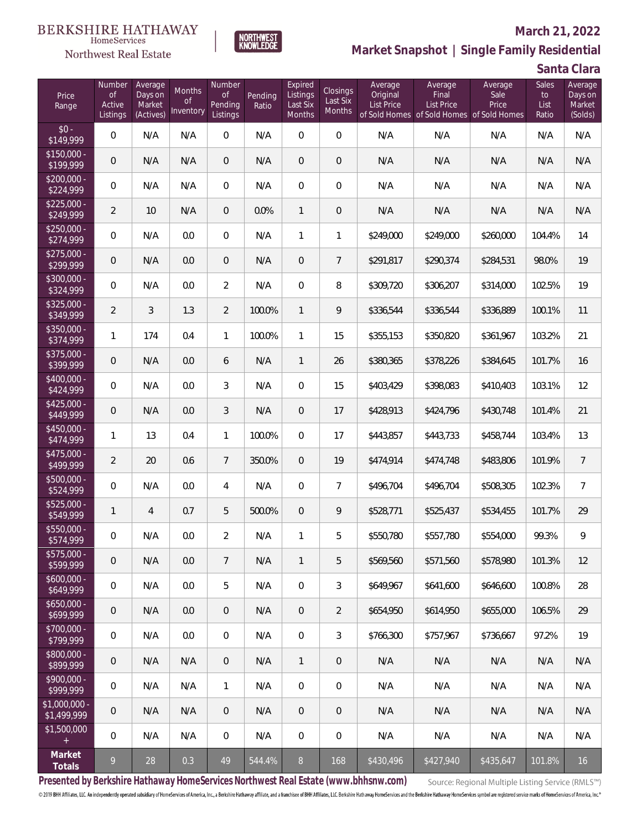## Northwest Real Estate

#### **March 21, 2022**



# **Market Snapshot | Single Family Residential**

**Santa Clara**

| Price<br>Range               | Number<br><b>of</b><br>Active<br>Listings | Average<br>Days on<br>Market<br>(Actives) | <b>Months</b><br><b>of</b><br>Inventory | Number<br><b>of</b><br>Pending<br>Listings | Pending<br>Ratio | Expired<br>Listings<br>Last Six<br>Months | Closings<br>Last Six<br>Months | Average<br>Original<br><b>List Price</b> | Average<br>Final<br><b>List Price</b><br>of Sold Homes of Sold Homes of Sold Homes | Average<br>Sale<br>Price | Sales<br>to<br>List<br>Ratio | Average<br>Days on<br>Market<br>(Solds) |
|------------------------------|-------------------------------------------|-------------------------------------------|-----------------------------------------|--------------------------------------------|------------------|-------------------------------------------|--------------------------------|------------------------------------------|------------------------------------------------------------------------------------|--------------------------|------------------------------|-----------------------------------------|
| $$0 -$<br>\$149,999          | $\overline{0}$                            | N/A                                       | N/A                                     | $\overline{0}$                             | N/A              | $\overline{0}$                            | 0                              | N/A                                      | N/A                                                                                | N/A                      | N/A                          | N/A                                     |
| $$150,000 -$<br>\$199,999    | $\overline{0}$                            | N/A                                       | N/A                                     | $\overline{0}$                             | N/A              | $\overline{0}$                            | $\overline{0}$                 | N/A                                      | N/A                                                                                | N/A                      | N/A                          | N/A                                     |
| $$200,000 -$<br>\$224,999    | $\overline{0}$                            | N/A                                       | N/A                                     | $\overline{0}$                             | N/A              | $\overline{0}$                            | 0                              | N/A                                      | N/A                                                                                | N/A                      | N/A                          | N/A                                     |
| $$225,000 -$<br>\$249,999    | $\overline{2}$                            | 10                                        | N/A                                     | $\mathbf 0$                                | 0.0%             | $\mathbf{1}$                              | 0                              | N/A                                      | N/A                                                                                | N/A                      | N/A                          | N/A                                     |
| $$250,000 -$<br>\$274,999    | $\overline{0}$                            | N/A                                       | 0.0                                     | $\overline{0}$                             | N/A              | $\mathbf{1}$                              | 1                              | \$249,000                                | \$249,000                                                                          | \$260,000                | 104.4%                       | 14                                      |
| $$275,000 -$<br>\$299,999    | $\overline{0}$                            | N/A                                       | 0.0                                     | $\overline{0}$                             | N/A              | $\boldsymbol{0}$                          | $\overline{7}$                 | \$291,817                                | \$290,374                                                                          | \$284,531                | 98.0%                        | 19                                      |
| $$300,000 -$<br>\$324,999    | $\overline{0}$                            | N/A                                       | 0.0                                     | $\overline{2}$                             | N/A              | $\overline{0}$                            | 8                              | \$309,720                                | \$306,207                                                                          | \$314,000                | 102.5%                       | 19                                      |
| $$325,000 -$<br>\$349,999    | $\overline{2}$                            | 3                                         | 1.3                                     | $\overline{2}$                             | 100.0%           | $\mathbf{1}$                              | 9                              | \$336,544                                | \$336,544                                                                          | \$336,889                | 100.1%                       | 11                                      |
| $$350,000 -$<br>\$374,999    | 1                                         | 174                                       | 0.4                                     | $\mathbf{1}$                               | 100.0%           | $\mathbf{1}$                              | 15                             | \$355,153                                | \$350,820                                                                          | \$361,967                | 103.2%                       | 21                                      |
| $$375,000 -$<br>\$399,999    | $\mathbf 0$                               | N/A                                       | 0.0                                     | 6                                          | N/A              | $\mathbf{1}$                              | 26                             | \$380,365                                | \$378,226                                                                          | \$384,645                | 101.7%                       | 16                                      |
| $$400,000 -$<br>\$424,999    | 0                                         | N/A                                       | 0.0                                     | 3                                          | N/A              | $\overline{0}$                            | 15                             | \$403,429                                | \$398,083                                                                          | \$410,403                | 103.1%                       | 12                                      |
| $$425,000 -$<br>\$449,999    | $\mathbf 0$                               | N/A                                       | 0.0                                     | 3                                          | N/A              | $\overline{0}$                            | 17                             | \$428,913                                | \$424,796                                                                          | \$430,748                | 101.4%                       | 21                                      |
| $$450,000 -$<br>\$474,999    | 1                                         | 13                                        | 0.4                                     | $\mathbf{1}$                               | 100.0%           | $\overline{0}$                            | 17                             | \$443,857                                | \$443,733                                                                          | \$458,744                | 103.4%                       | 13                                      |
| $$475,000 -$<br>\$499,999    | $\overline{2}$                            | 20                                        | 0.6                                     | $\overline{7}$                             | 350.0%           | $\Omega$                                  | 19                             | \$474,914                                | \$474,748                                                                          | \$483,806                | 101.9%                       | $7\overline{ }$                         |
| $$500,000 -$<br>\$524,999    | $\overline{0}$                            | N/A                                       | 0.0                                     | 4                                          | N/A              | $\Omega$                                  | $\overline{7}$                 | \$496,704                                | \$496,704                                                                          | \$508,305                | 102.3%                       | $\overline{7}$                          |
| $$525,000 -$<br>\$549,999    | $\mathbf{1}$                              | $\overline{4}$                            | 0.7                                     | 5                                          | 500.0%           | $\overline{0}$                            | 9                              | \$528,771                                | \$525,437                                                                          | \$534,455                | 101.7%                       | 29                                      |
| $$550,000 -$<br>\$574,999    | 0                                         | N/A                                       | 0.0                                     | $\overline{2}$                             | N/A              | 1                                         | 5                              | \$550,780                                | \$557,780                                                                          | \$554,000                | 99.3%                        | 9                                       |
| \$575,000 -<br>\$599,999     | 0                                         | N/A                                       | 0.0                                     | $\overline{7}$                             | N/A              | $\mathbf{1}$                              | 5                              | \$569,560                                | \$571,560                                                                          | \$578,980                | 101.3%                       | 12                                      |
| $$600,000 -$<br>\$649,999    | 0                                         | N/A                                       | 0.0                                     | 5                                          | N/A              | $\boldsymbol{0}$                          | 3                              | \$649,967                                | \$641,600                                                                          | \$646,600                | 100.8%                       | 28                                      |
| $$650,000 -$<br>\$699,999    | 0                                         | N/A                                       | 0.0                                     | $\overline{0}$                             | N/A              | $\mathbf 0$                               | $\overline{2}$                 | \$654,950                                | \$614,950                                                                          | \$655,000                | 106.5%                       | 29                                      |
| \$700,000 -<br>\$799,999     | 0                                         | N/A                                       | 0.0                                     | $\mathbf 0$                                | N/A              | 0                                         | 3                              | \$766,300                                | \$757,967                                                                          | \$736,667                | 97.2%                        | 19                                      |
| \$800,000 -<br>\$899,999     | 0                                         | N/A                                       | N/A                                     | $\sqrt{0}$                                 | N/A              | 1                                         | 0                              | N/A                                      | N/A                                                                                | N/A                      | N/A                          | N/A                                     |
| \$900,000 -<br>\$999,999     | 0                                         | N/A                                       | N/A                                     | 1                                          | N/A              | $\overline{0}$                            | 0                              | N/A                                      | N/A                                                                                | N/A                      | N/A                          | N/A                                     |
| \$1,000,000 -<br>\$1,499,999 | 0                                         | N/A                                       | N/A                                     | $\sqrt{0}$                                 | N/A              | $\mathbf 0$                               | 0                              | N/A                                      | N/A                                                                                | N/A                      | N/A                          | N/A                                     |
| \$1,500,000<br>$+$           | $\mathbf 0$                               | N/A                                       | N/A                                     | $\mathbf 0$                                | N/A              | 0                                         | 0                              | N/A                                      | N/A                                                                                | N/A                      | N/A                          | N/A                                     |
| Market<br>Totals             | 9                                         | $28\,$                                    | 0.3                                     | 49                                         | 544.4%           | 8                                         | 168                            | \$430,496                                | \$427,940                                                                          | \$435,647                | 101.8%                       | 16                                      |

**Presented by Berkshire Hathaway HomeServices Northwest Real Estate (www.bhhsnw.com)**

Source: Regional Multiple Listing Service (RMLS™)